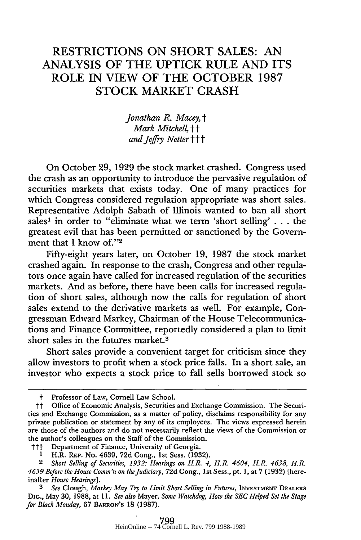# RESTRICTIONS **ON** SHORT **SALES: AN ANALYSIS** OF THE **UPTICK** RULE **AND ITS** ROLE IN VIEW OF THE OCTOBER **1987** STOCK MARKET CRASH

*Jonathan R. Macey, t Mark Mitchell,* tt *and Jefry Netter ttt*

On October 29, 1929 the stock market crashed. Congress used the crash as an opportunity to introduce the pervasive regulation of securities markets that exists today. One of many practices for which Congress considered regulation appropriate was short sales. Representative Adolph Sabath of Illinois wanted to ban all short sales' in order to "eliminate what we term 'short selling' . . . the greatest evil that has been permitted or sanctioned by the Government that I know of."2

Fifty-eight years later, on October 19, 1987 the stock market crashed again. In response to the crash, Congress and other regulators once again have called for increased regulation of the securities markets. And as before, there have been calls for increased regulation of short sales, although now the calls for regulation of short sales extend to the derivative markets as well. For example, Congressman Edward Markey, Chairman of the House Telecommunications and Finance Committee, reportedly considered a plan to limit short sales in the futures market.3

Short sales provide a convenient target for criticism since they allow investors to profit when a stock price falls. In a short sale, an investor who expects a stock price to fall sells borrowed stock so

Professor of Law, Cornell Law School.

tt Office of Economic Analysis, Securities and Exchange Commission. The Securities and Exchange Commission, as a matter of policy, disclaims responsibility for any private publication or statement by any of its employees. The views expressed herein are those of the authors and do not necessarily reflect the views of the Commission or the author's colleagues on the Staff of the Commission.

ttt Department of Finance, University of Georgia. **<sup>1</sup>**H.R. REP. No. 4639, **72d** Cong., 1st Sess. (1932).

*<sup>2</sup> Short Selling of Securities, 1932: Hearings on H.R. 4, H.R. 4604, H.R. 4638 H.R. 4639 Before the House Comm'n on the Judiciary,* **72d** Cong., 1st Sess., pt. 1, at 7 (1932) (hereinafter *House Hearings].*

*<sup>3</sup> See* Clough, *Markey May Try to Limit Short Selling in Futures,* INVESTMENT DEALERS **DIG.,** May 30, 1988, at 11. *See also* Mayer, *Some Watchdog, How the SEC Helped Set the Stage for Black Monday,* 67 BARRON'S 18 (1987).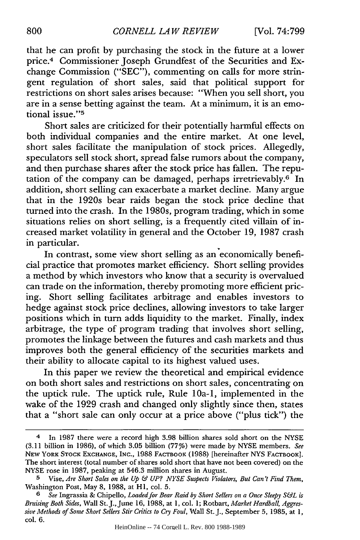that he can profit by purchasing the stock in the future at a lower price.<sup>4</sup> Commissioner Joseph Grundfest of the Securities and Exchange Commission ("SEC"), commenting on calls for more stringent regulation of short sales, said that political support for restrictions on short sales arises because: "When you sell short, you are in a sense betting against the team. At a minimum, it is an emotional issue."<sup>5</sup>

Short sales are criticized for their potentially harmful effects on both individual companies and the entire market. At one level, short sales facilitate the manipulation of stock prices. Allegedly, speculators sell stock short, spread false rumors about the company, and then purchase shares after the stock price has fallen. The reputation of the company can be damaged, perhaps irretrievably. $6$  In addition, short selling can exacerbate a market decline. Many argue that in the 1920s bear raids began the stock price decline that turned into the crash. In the 1980s, program trading, which in some situations relies on short selling, is a frequently cited villain of increased market volatility in general and the October 19, 1987 crash in particular.

In contrast, some view short selling as an economically beneficial practice that promotes market efficiency. Short selling provides a method by which investors who know that a security is overvalued can trade on the information, thereby promoting more efficient pricing. Short selling facilitates arbitrage and enables investors to hedge against stock price declines, allowing investors to take larger positions which in turn adds liquidity to the market. Finally, index arbitrage, the type of program trading that involves short selling, promotes the linkage between the futures and cash markets and thus improves both the general efficiency of the securities markets and their ability to allocate capital to its highest valued uses.

In this paper we review the theoretical and empirical evidence on both short sales and restrictions on short sales, concentrating on the uptick rule. The uptick rule, Rule lOa-1, implemented in the wake of the 1929 crash and changed only slightly since then, states that a "short sale can only occur at a price above ("plus tick") the

<sup>4</sup> In 1987 there were a record high 3.98 billion shares sold short on the NYSE (3.11 billion in 1986), of which 3.05 billion (777%) were made by NYSE members. *See* **NEW** YORK STOCK EXCHANGE, INC., 1988 FACTBOOK (1988) [hereinafter NYS FACTBOOK]. The short interest (total number of shares sold short that have not been covered) on the NYSE rose in 1987, peaking at 546.3 million shares in August.

**<sup>5</sup>** Vise, *Are Short Sales on the Up & UP? NYSE Suspects Violators, But Can't Find Them,* Washington Post, May 8, 1988, at HI, col. 5.

*<sup>6</sup> See* Ingrassia & Chipello, *Loaded for Bear Raid by Short Sellers on a Once Sleepy S&L is Bruising Both Sides,* Wall St. J.,June 16, 1988, at **1,** col. 1; Rotbart, *Market Hardball, Aggressive Methods of Some Short Sellers Stir Critics to Cry Foul,* Wall St. J., September 5, 1985, at 1, col. 6.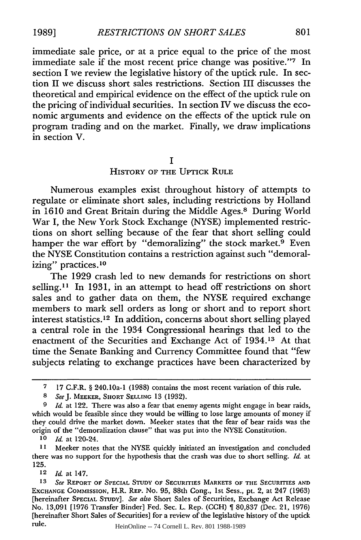immediate sale price, or at a price equal to the price of the most immediate sale if the most recent price change was positive."<sup>7</sup> In section **I** we review the legislative history of the uptick rule. In section II we discuss short sales restrictions. Section III discusses the theoretical and empirical evidence on the effect of the uptick rule on the pricing of individual securities. In section IV we discuss the economic arguments and evidence on the effects of the uptick rule on program trading and on the market. Finally, we draw implications in section V.

#### **I**

### HISTORY OF THE **UPTICK** RULE

Numerous examples exist throughout history of attempts to regulate or eliminate short sales, including restrictions **by** Holland in **1610** and Great Britain during the Middle Ages." During World War I, the New York Stock Exchange **(NYSE)** implemented restrictions on short selling because of the fear that short selling could hamper the war effort by "demoralizing" the stock market.<sup>9</sup> Even the **NYSE** Constitution contains a restriction against such "demoralizing" practices.<sup>10</sup>

The **1929** crash led to new demands for restrictions on short selling.<sup>11</sup> In 1931, in an attempt to head off restrictions on short sales and to gather data on them, the **NYSE** required exchange members to mark sell orders as long or short and to report short interest statistics. 12 In addition, concerns about short selling played a central role in the 1934 Congressional hearings that led to the enactment of the Securities and Exchange Act of 1934.13 At that time the Senate Banking and Currency Committee found that "few subjects relating to exchange practices have been characterized **by**

*10 Id.* at 120-24.

**<sup>12</sup>***Id.* at 147.

**<sup>7 17</sup>** C.F.R. **§** 240.1Oa-I **(1988)** contains the most recent variation of this rule.

*<sup>8</sup> SeeJ.* MEEKER, SHORT **SELLING 13 (1932).**

*<sup>9</sup> Id.* at 122. There was also a fear that enemy agents might engage in bear raids, which would be feasible since they would be willing to lose large amounts of money if they could drive the market down. Meeker states that the fear of bear raids was the origin of the "demoralization clause" that was put into the **NYSE** Constitution.

**<sup>11</sup>** Meeker notes that the **NYSE** quickly initiated an investigation and concluded there was no support for the hypothesis that the crash was due to short selling. *Id.* at **125.**

**<sup>13</sup>** *See* REPORT **OF SPECIAL STUDY** OF **SECURITIES** MARKETS OF THE SECURITIES **AND** EXCHANGE COMMISSION, H.R. REP. No. **95,** 88th Cong., **Ist** Sess., pt. 2, at 247 **(1963)** [hereinafter **SPECIAL** STUDY]. *See also* Short Sales of Securities, Exchange Act Release No. **13,091 [1976** Transfer Binder] Fed. Sec. L. Rep. **(CCH) 80,837** (Dec. 21, **1976)** [hereinafter Short Sales of Securities] for a review of the legislative history of the uptick rule.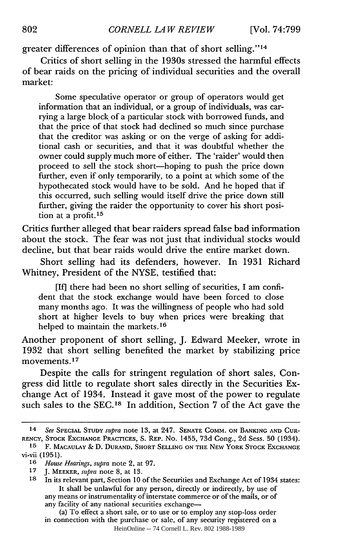greater differences of opinion than that of short selling."14

Critics of short selling in the 1930s stressed the harmful effects of bear raids on the pricing of individual securities and the overall market:

Some speculative operator or group of operators would get information that an individual, or a group of individuals, was carrying a large block of a particular stock with borrowed funds, and that the price of that stock had declined so much since purchase that the creditor was asking or on the verge of asking for additional cash or securities, and that it was doubtful whether the owner could supply much more of either. The 'raider' would then proceed to sell the stock short-hoping to push the price down further, even if only temporarily, to a point at which some of the hypothecated stock would have to be sold. And he hoped that if this occurred, such selling would itself drive the price down still further, giving the raider the opportunity to cover his short position at a profit.<sup>15</sup>

Critics further alleged that bear raiders spread false bad information about the stock. The fear was not just that individual stocks would decline, but that bear raids would drive the entire market down.

Short selling had its defenders, however. In 1931 Richard Whitney, President of the NYSE, testified that:

[If] there had been no short selling of securities, I am confident that the stock exchange would have been forced to close many months ago. It was the willingness of people who had sold short at higher levels to buy when prices were breaking that helped to maintain the markets.<sup>16</sup>

Another proponent of short selling, J. Edward Meeker, wrote in 1932 that short selling benefited the market by stabilizing price movements.17

Despite the calls for stringent regulation of short sales, Congress did little to regulate short sales directly in the Securities Exchange Act of 1934. Instead it gave most of the power to regulate such sales to the SEC.<sup>18</sup> In addition, Section 7 of the Act gave the

<sup>14</sup> *See* SPECIAL STUDY *supra* note 13, at 247. SENATE COMM. ON BANKING AND CUR-RENCY, STOCK EXCHANGE PRACTICES, S. REP. No. 1455, 73d Cong., 2d Sess. 50 (1934).

**<sup>15</sup>** F. **MACAULAY & D. DURAND,** SHORT **SELLING ON** THE NEW YORK STOCK **EXCHANGE** vi-vii **(1951).**

**<sup>16</sup>***House Hearings, supra* note 2, at 97.

**<sup>17</sup> J.** MEEKER, *supra* note 8, at 13.

**<sup>18</sup>**In its relevant part, Section **10** of the Securities and Exchange Act of 1934 states: It shall be unlawful for any person, directly or indirectly, by use of any means or instrumentality of interstate commerce or of the mails, or of any facility of any national securities exchange-

<sup>(</sup>a) To effect a short sale, or to use or to employ any stop-loss order in connection with the purchase or sale, of any security registered on a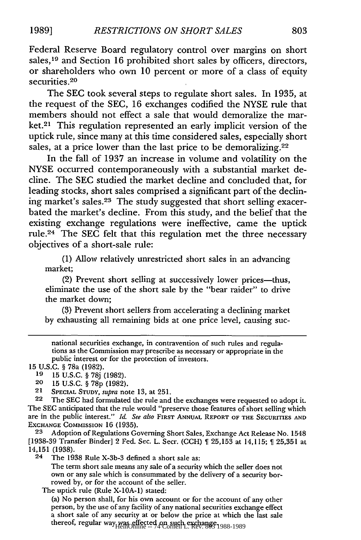Federal Reserve Board regulatory control over margins on short sales,<sup>19</sup> and Section 16 prohibited short sales by officers, directors, or shareholders who own 10 percent or more of a class of equity securities.<sup>20</sup>

The SEC took several steps to regulate short sales. In 1935, at the request of the SEC, 16 exchanges codified the NYSE rule that members should not effect a sale that would demoralize the market.21 This regulation represented an early implicit version of the uptick rule, since many at this time considered sales, especially short sales, at a price lower than the last price to be demoralizing.<sup>22</sup>

In the fall of 1937 an increase in volume and volatility on the NYSE occurred contemporaneously with a substantial market decline. The SEC studied the market decline and concluded that, for leading stocks, short sales comprised a significant part of the declining market's sales.23 The study suggested that short selling exacerbated the market's decline. From this study, and the belief that the existing exchange regulations were ineffective, came the uptick rule.24 The SEC felt that this regulation met the three necessary objectives of a short-sale rule:

(1) Allow relatively unrestricted short sales in an advancing market;

(2) Prevent short selling at successively lower prices-thus, eliminate the use of the short sale by the "bear raider" to drive the market down;

(3) Prevent short sellers from accelerating a declining market by exhausting all remaining bids at one price level, causing suc-

national securities exchange, in contravention of such rules and regulations as the Commission may prescribe as necessary or appropriate in the public interest or for the protection of investors.

15 U.S.C. § 78a (1982).

19 15 U.S.C. § 78j (1982).

20 15 U.S.C. § 78p (1982).

21 SPECIAL **STUDY,** *supra* note 13, at 251.

22 The SEC had formulated the rule and the exchanges were requested to adopt it. The SEC anticipated that the rule would "preserve those features of short selling which are in the public interest." *Id. See also* FIRST ANNUAL REPORT OF THE SECURITIES AND EXCHANGE COMMISSION 16 (1935).

23 Adoption of Regulations Governing Short Sales, Exchange Act Release No. 1548 [1938-39 Transfer Binder] 2 Fed. Sec. L. Secr. (CCH)  $\parallel$  25,153 at 14,115;  $\parallel$  25,351 at 14,151 (1938).<br>24 The 19

The 1938 Rule X-3b-3 defined a short sale as:

The term short sale means any sale of a security which the seller does not own or any sale which is consummated by the delivery of a security borrowed **by,** or for the account of the seller.

The uptick rule (Rule X-10A-1) stated:

(a) No person shall, for his own account or for the account of any other person, by the use of any facility of any national securities exchange effect a short sale of any security at or below the price at which the last sale thereof, regular way was effected on such exchange. HeinOnline -- 74 Cornell L. Rev. 803 1988-1989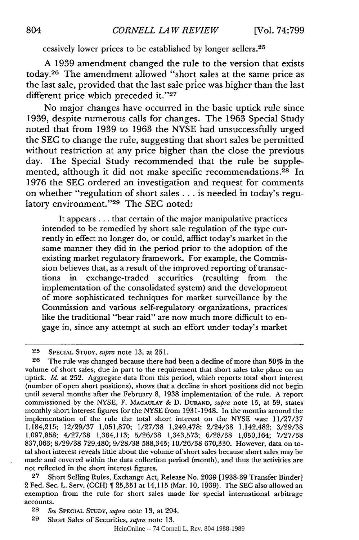cessively lower prices to be established by longer sellers.<sup>25</sup>

A 1939 amendment changed the rule to the version that exists today. 26 The amendment allowed "short sales at the same price as the last sale, provided that the last sale price was higher than the last different price which preceded it."27

No major changes have occurred in the basic uptick rule since 1939, despite numerous calls for changes. The 1963 Special Study noted that from 1939 to 1963 the NYSE had unsuccessfully urged the SEC to change the rule, suggesting that short sales be permitted without restriction at any price higher than the close the previous day. The Special Study recommended that the rule be supplemented, although it did not make specific recommendations.<sup>28</sup> In 1976 the SEC ordered an investigation and request for comments on whether "regulation of short sales **...** is needed in today's regulatory environment."<sup>29</sup> The SEC noted:

It appears.., that certain of the major manipulative practices intended to be remedied by short sale regulation of the type currently in effect no longer do, or could, afflict today's market in the same manner they did in the period prior to the adoption of the existing market regulatory framework. For example, the Commission believes that, as a result of the improved reporting of transactions in exchange-traded securities (resulting from the implementation of the consolidated system) and the development of more sophisticated techniques for market surveillance by the Commission and various self-regulatory organizations, practices like the traditional "bear raid" are now much more difficult to engage in, since any attempt at such an effort under today's market

**27** Short Selling Rules, Exchange Act, Release No. 2039 [1938-39 Transfer Binder] 2 Fed. Sec. L. Serv. **(CCH)** 25,351 at 14,115 (Mar. **10,** 1939). The SEC also allowed an exemption from the rule for short sales made for special international arbitrage accounts.

**<sup>25</sup> SPECIAL STUDY,** *supra* note 13, at **251.**

**<sup>26</sup>** The rule was changed because there had been a decline of more than 50% in the volume of short sales, due in part to the requirement that short sales take place on an uptick. *Id.* at 252. Aggregate data from this period, which reports total short interest (number of open short positions), shows that a decline in short positions did not begin until several months after the February 8, 1938 implementation of the rule. A report commissioned by the NYSE, F. **MACAULAY & D. DURAND,** *supra* note **15,** at **59,** states monthly short interest figures for the NYSE from 1931-1948. In the months around the implementation of the rule the total short interest on the NYSE was: 11/27/37 1,184,215; 12/29/37 1,051,870; 1/27/38 1,249,478; 2/24/38 1,142,482; 3/29/38 1,097,858; 4/27/38 1,384,113; 5/26/38 1,343,573; 6/28/38 1,050,164; 7/27/38 837,063; 8/29/38 729,480; 9/28/38 588,345; 10/26/38 670,330. However, data on total short interest reveals little about the volume of short sales because short sales may be made and covered within the data collection period (month), and thus the activities are not reflected in the short interest figures.

**<sup>28</sup>** *See* **SPECIAL STUDY,** *supra* note 13, at 294.

**<sup>29</sup>** Short Sales of Securities, *supra* note 13.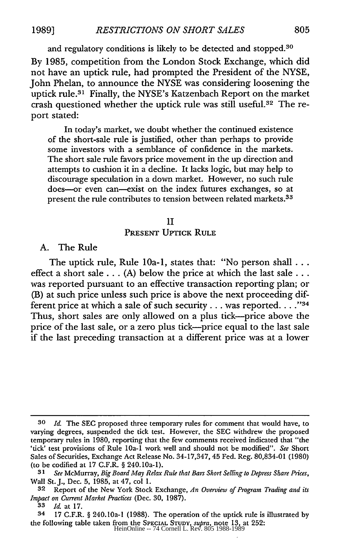and regulatory conditions is likely to be detected and stopped.<sup>30</sup>

By 1985, competition from the London Stock Exchange, which did not have an uptick rule, had prompted the President of the NYSE, John Phelan, to announce the NYSE was considering loosening the uptick rule.3' Finally, the NYSE's Katzenbach Report on the market crash questioned whether the uptick rule was still useful.<sup>32</sup> The report stated:

In today's market, we doubt whether the continued existence of the short-sale rule is justified, other than perhaps to provide some investors with a semblance of confidence in the markets. The short sale rule favors price movement in the up direction and attempts to cushion it in a decline. It lacks logic, but may help to discourage speculation in a down market. However, no such rule does-or even can-exist on the index futures exchanges, so at present the rule contributes to tension between related markets.<sup>33</sup>

#### II

### **PRESENT UPTICK RULE**

#### A. The Rule

The uptick rule, Rule 10a-1, states that: "No person shall... effect a short sale  $\dots$  (A) below the price at which the last sale  $\dots$ was reported pursuant to an effective transaction reporting plan; or (B) at such price unless such price is above the next proceeding different price at which a sale of such security  $\dots$  was reported.  $\dots$ <sup>34</sup> Thus, short sales are only allowed on a plus tick-price above the price of the last sale, or a zero plus tick-price equal to the last sale if the last preceding transaction at a different price was at a lower

**<sup>30</sup> Id** The **SEC** proposed three temporary rules for comment that would have, to varying degrees, suspended the tick test. However, the SEC withdrew the proposed temporary rules in 1980, reporting that the few comments received indicated that "the 'tick' test provisions of Rule 10a-1 work well and should not be modified". *See* Short Sales of Securities, Exchange Act Release No. 34-17,347, 45 Fed. Reg. 80,834-01 (1980) (to be codified at 17 C.F.R. § 240.10a-1).

*<sup>31</sup> See* McMurray, *Big Board May Relax Rule that Bars Short Selling to Depress Share Prices,* Wall St. J., Dec. 5, 1985, at 47, col 1.

**<sup>32</sup>** Report of the New York Stock Exchange, *An Overview of Program Trading and its Impact on Current Market Practices* (Dec. 30, 1987).

**<sup>33</sup>** *Id.* at 17.

<sup>34 17</sup> C.F.R. § 240.I0a-1 (1988). The operation of the uptick rule is illustrated by the following table taken from the **SPECIAL STUDY,** *supra,* note 13, at 252: HeinOnline -- 74 Cornell L. Rev. 805 1988-1989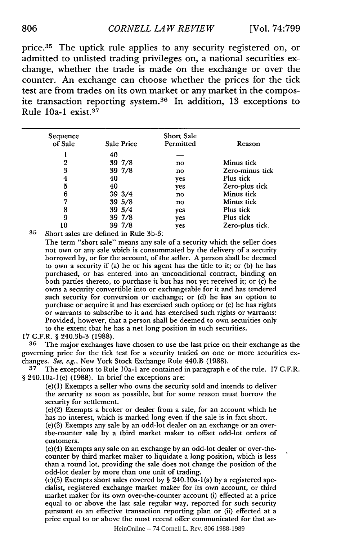## *CORNELL LA W REVIEW* **806** [Vol. **74:799**

price.<sup>35</sup> The uptick rule applies to any security registered on, or admitted to unlisted trading privileges on, a national securities exchange, whether the trade is made on the exchange or over the counter. An exchange can choose whether the prices for the tick test are from trades on its own market or any market in the composite transaction reporting system. 36 In addition, 13 exceptions to Rule  $10a-1$  exist.<sup>37</sup>

| Sequence<br>of Sale | Sale Price | <b>Short Sale</b><br>Permitted | Reason          |
|---------------------|------------|--------------------------------|-----------------|
|                     | 40         |                                |                 |
| 2                   | 39 7/8     | no                             | Minus tick      |
| 3                   | 39 7/8     | no                             | Zero-minus tick |
| 4                   | 40         | yes                            | Plus tick       |
| 5                   | 40         | yes                            | Zero-plus tick  |
| 6                   | 39 3/4     | no                             | Minus tick      |
| 7                   | 39 5/8     | no                             | Minus tick      |
| 8                   | 39 3/4     | yes                            | Plus tick       |
| 9                   | 39 7/8     | yes                            | Plus tick       |
| l O                 | 39 7/8     | yes                            | Zero-plus tick. |

**35** Short sales are defined in Rule **3b-3:**

The term "short sale" means any sale of a security which the seller does not own or any sale which is consummated **by** the delivery of a security borrowed **by,** or for the account, of the seller. **A** person shall be deemed to own a security if (a) he or his agent has the title to it; or **(b)** he has purchased, or has entered into an unconditional contract, binding on both parties thereto, to purchase it but has not yet received it; or (c) he owns a security convertible into or exchangeable for it and has tendered such security for conversion or exchange; or **(d)** he has an option to purchase or acquire **it** and has exercised such option; or (e) he has rights or warrants to subscribe to it and has exercised such rights or warrants: Provided, however, that a person shall be deemed to own securities only to the extent that he has a net long position in such securities.

17 G.F.R. § 240.3b-3 (1988).

**36** The major exchanges have chosen to use the last price on their exchange as the governing price for the tick test for a security traded on one or more securities exchanges. See, e.g., New York Stock Exchange Rule 440.B (1988).

**37** The exceptions to Rule lOa-1 are contained in paragraph e of the rule. 17 G.F.R. § 240.10a-1(e) (1988). In brief the exceptions are:

(e)(1) Exempts a seller who owns the security sold and intends to deliver the security as soon as possible, but for some reason must borrow the security for settlement.

(e)(2) Exempts a broker or dealer from a sale, for an account which he has no interest, which is marked long even if the sale is in fact short.

(e)(3) Exempts any sale by an odd-lot dealer on an exchange or an overthe-counter sale by a third market maker to offset odd-lot orders of customers.

(e)(4) Exempts any sale on an exchange by an odd-lot dealer or over-thecounter by third market maker to liquidate a long position, which is less than a round lot, providing the sale does not change the position of the odd-lot dealer by more than one unit of trading.

(e) **(5)** Exempts short sales covered **by** § 240. 1Oa- 1(a) by a registered specialist, registered exchange market maker for its own account, or third market maker for its own over-the-counter account (i) effected at a price equal to or above the last sale regular way, reported for such security pursuant to an effective transaction reporting plan or (ii) effected at a price equal to or above the most recent offer communicated for that se-

HeinOnline -- 74 Cornell L. Rev. 806 1988-1989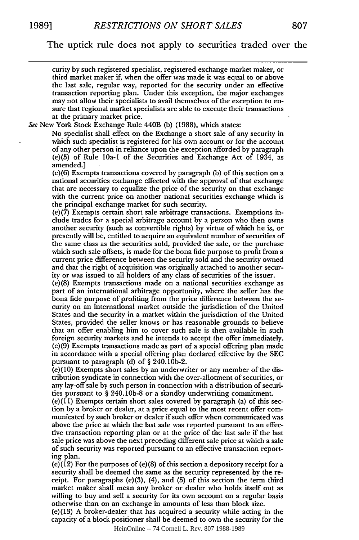The uptick rule does not apply to securities traded over the

curity by such registered specialist, registered exchange market maker, or third market maker if, when the offer was made it was equal to or above the last sale, regular way, reported for the security under an effective transaction reporting plan. Under this exception, the major exchanges may not allow their specialists to avail themselves of the exception to ensure that regional market specialists are able to execute their transactions at the primary market price.

See New York Stock Exchange Rule 440B (b) (1988), which states:

No specialist shall effect on the Exchange a short sale of any security in which such specialist is registered for his own account or for the account of any other person in reliance upon the exception afforded by paragraph (e)(5) of Rule l0a-1 of the Securities and Exchange Act of 1934, as amended.]

(e)(6) Exempts transactions covered by paragraph (b) of this section on a national securities exchange effected with the approval of that exchange that are necessary to equalize the price of the security on that exchange with the current price on another national securities exchange which is the principal exchange market for such security.

(e)(7) Exempts certain short sale arbitrage transactions. Exemptions include trades for a special arbitrage account by a person who then owns another security (such as convertible rights) by virtue of which he is, or presently will be, entitled to acquire an equivalent number of securities of the same class as the securities sold, provided the sale, or the purchase which such sale offsets, is made for the bona fide purpose to profit from a current price difference between the security sold and the security owned and that the right of acquisition was originally attached to another security or was issued to all holders of any class of securities of the issuer.

(e)(8) Exempts transactions made on a national securities exchange as part of an international arbitrage opportunity, where the seller has the bona fide purpose of profiting from the price difference between the security on an international market outside the jurisdiction of the United States and the security in a market within the jurisdiction of the United States, provided the seller knows or has reasonable grounds to believe that an offer enabling him to cover such sale is then available in such foreign security markets and he intends to accept the offer immediately. (e) (9) Exempts transactions made as part of a special offering plan made in accordance with a special offering plan declared effective by the SEC pursuant to paragraph (d) of § 240.10b-2.

(e)(10) Exempts short sales by an underwriter or any member of the distribution syndicate in connection with the over-allotment of securities, or any lay-off sale by such person in connection with a distribution of securities pursuant to § 240.1 Ob-8 or a sitandby underwriting commitment.

 $(e)(11)$  Exempts certain short sales covered by paragraph  $(a)$  of this section by a broker or dealer, at a price equal to the most recent offer communicated by such broker or dealer if such offer when communicated was above the price at which the last sale was reported pursuant to an effective transaction reporting plan or at the price of the last sale if the last sale price was above the next preceding different sale price at which a sale of such security was reported pursuant to an effective transaction reporting plan.

(e)(12) For the purposes of (e)(8) of this section a depository receipt for a security shall be deemed the same as the security represented by the receipt. For paragraphs (e)(3), (4), and **(5)** of this section the term third market maker shall mean any broker or dealer who holds itself out as willing to buy and sell a security for its own account on a regular basis otherwise than on an exchange in amounts of less than block size.

(e)(13) A broker-dealer that has acquired a security while acting in the capacity of a block positioner shall be deemed to own the security for the

HeinOnline -- 74 Cornell L. Rev. 807 1988-1989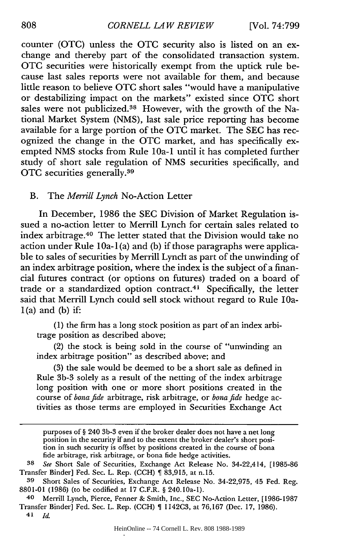counter (OTC) unless the **OTC** security also is listed on an exchange and thereby part of the consolidated transaction system. OTC securities were historically exempt from the uptick rule because last sales reports were not available for them, and because little reason to believe **OTC** short sales "would have a manipulative or destabilizing impact on the markets" existed since OTC short sales were not publicized.<sup>38</sup> However, with the growth of the National Market System (NMS), last sale price reporting has become available for a large portion of the OTC market. The SEC has recognized the change in the OTC market, and has specifically exempted NMS stocks from Rule l0a-1 until it has completed further study of short sale regulation of NMS securities specifically, and OTC securities generally. <sup>39</sup>

#### B. The *Merrill Lynch* No-Action Letter

In December, 1986 the SEC Division of Market Regulation issued a no-action letter to Merrill Lynch for certain sales related to index arbitrage. 40 The letter stated that the Division would take no action under Rule 1Oa- I(a) and (b) if those paragraphs were applicable to sales of securities by Merrill Lynch as part of the unwinding of an index arbitrage position, where the index is the subject of a financial futures contract (or options on futures) traded on a board of trade or a standardized option contract.<sup>41</sup> Specifically, the letter said that Merrill Lynch could sell stock without regard to Rule lOa- $1(a)$  and  $(b)$  if:

(1) the firm has a long stock position as part of an index arbitrage position as described above;

(2) the stock is being sold in the course of "unwinding an index arbitrage position" as described above; and

(3) the sale would be deemed to be a short sale as defined in Rule 3b-3 solely as a result of the netting of the index arbitrage long position with one or more short positions created in the course of *bonafide* arbitrage, risk arbitrage, or *bonafide* hedge activities as those terms are employed in Securities Exchange Act

purposes of § 240 3b-3 even if the broker dealer does not have a net long position in the security if and to the extent the broker dealer's short position in such security is offset by positions created in the course of bona fide arbitrage, risk arbitrage, or bona fide hedge activities.

*<sup>38</sup> See* Short Sale of Securities, Exchange Act Release No. 34-22,414, [1985-86 Transfer Binder] Fed. Sec. L. Rep. **(CCH)** 83,915, at n.15.

**<sup>39</sup>** Short Sales of Securities, Exchange Act Release No. 34-22,975, 45 Fed. Reg. 8801-01 (1986) (to be codified at 17 C.F.R. § 240.10a-1).

<sup>40</sup> Merrill Lynch, Pierce, Fenner & Smith, Inc., SEC No-Action Letter, [1986-1987 Transfer Binder] Fed. Sec. L. Rep. (CCH) 1142C3, at 76,167 (Dec. 17, 1986). **41** *Id.*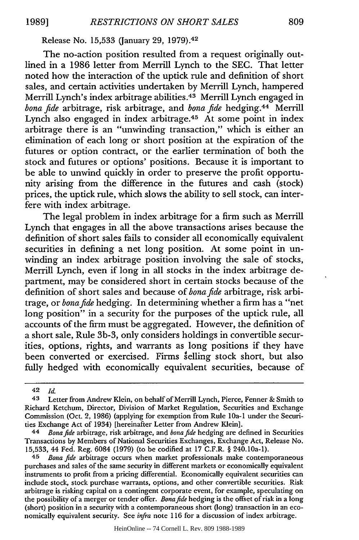Release No. 15,533 (January 29, **1979).42**

The no-action position resulted from a request originally outlined in a 1986 letter from Merrill Lynch to the SEC. That letter noted how the interaction of the uptick rule and definition of short sales, and certain activities undertaken by Merrill Lynch, hampered Merrill Lynch's index arbitrage abilities. 43 Merrill Lynch engaged in *bona fide* arbitrage, risk arbitrage, and *bona fide* hedging.44 Merrill Lynch also engaged in index arbitrage.45 At some point in index arbitrage there is an "unwinding transaction," which is either an elimination of each long or short position at the expiration of the futures or option contract, or the earlier termination of both the stock and futures or options' positions. Because it is important to be able to unwind quickly in order to preserve the profit opportunity arising from the difference in the futures and cash (stock) prices, the uptick rule, which slows the ability to sell stock, can interfere with index arbitrage.

The legal problem in index arbitrage for a firm such as Merrill Lynch that engages in all the above transactions arises because the definition of short sales fails to consider all economically equivalent securities in defining a net long position. At some point in unwinding an index arbitrage position involving the sale of stocks, Merrill Lynch, even if long in all stocks in the index arbitrage department, may be considered short in certain stocks because of the definition of short sales and because of *bonafide* arbitrage, risk arbitrage, or *bonafide* hedging. In determining whether a firm has a "net long position" in a security for the purposes of the uptick rule, all accounts of the firm must be aggregated. However, the definition of a short sale, Rule 3b-3, only considers holdings in convertible securities, options, rights, and warrants as long positions if they have been converted or exercised. Firms 'elling stock short, but also fully hedged with economically equivalent securities, because of

*45 Bona fide* arbitrage occurs when market professionals make contemporaneous purchases and sales of the same security in different markets or economically equivalent instruments to profit from a pricing differential. Economically equivalent securities can include stock, stock purchase warrants, options, and other convertible securities. Risk arbitrage is risking capital on a contingent corporate event, for example, speculating on the possibility of a merger or tender offer. *Bonafide* hedging is the offset of risk in a long (short) position in a security with a contemporaneous short (long) transaction in an economically equivalent security. See *infra* note 116 for a discussion of index arbitrage.

HeinOnline -- 74 Cornell L. Rev. 809 1988-1989

<sup>42</sup> *Id.*

**<sup>43</sup>** Letter from Andrew Klein, on behalf of Merrill Lynch, Pierce, Fenner & Smith to Richard Ketchum, Director, Division of Market Regulation, Securities and Exchange Commission (Oct. 2, 1986) (applying for exemption from Rule l0a-1 under the Securities Exchange Act of 1934) [hereinafter Letter from Andrew Klein].

<sup>44</sup> *Bonafide* arbitrage, risk arbitrage, and *bonafide* hedging are defined in Securities Transactions by Members of National Securities Exchanges, Exchange Act, Release No. 15,533, 44 Fed. Reg. 6084 (1979) (to be codified at 17 C.F.R. § 240.10a-1).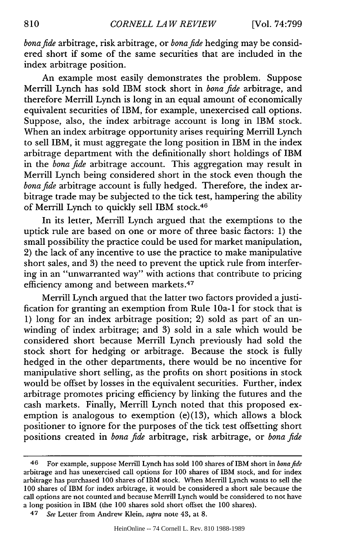*bonafide* arbitrage, risk arbitrage, or *bonafide* hedging may be considered short if some of the same securities that are included in the index arbitrage position.

An example most easily demonstrates the problem. Suppose Merrill Lynch has sold IBM stock short in *bona fide* arbitrage, and therefore Merrill Lynch is long in an equal amount of economically equivalent securities of IBM, for example, unexercised call options. Suppose, also, the index arbitrage account is long in IBM stock. When an index arbitrage opportunity arises requiring Merrill Lynch to sell IBM, it must aggregate the long position in IBM in the index arbitrage department with the definitionally short holdings of IBM in the *bona fide* arbitrage account. This aggregation may result in Merrill Lynch being considered short in the stock even though the *bonafide* arbitrage account is fully hedged. Therefore, the index arbitrage trade may be subjected to the tick test, hampering the ability of Merrill Lynch to quickly sell IBM stock.46

In its letter, Merrill Lynch argued that the exemptions to the uptick rule are based on one or more of three basic factors: 1) the small possibility the practice could be used for market manipulation, 2) the lack of any incentive to use the practice to make manipulative short sales, and 3) the need to prevent the uptick rule from interfering in an "unwarranted way" with actions that contribute to pricing efficiency among and between markets.<sup>47</sup>

Merrill Lynch argued that the latter two factors provided ajustification for granting an exemption from Rule 10a-1 for stock that is 1) long for an index arbitrage position; 2) sold as part of an unwinding of index arbitrage; and 3) sold in a sale which would be considered short because Merrill Lynch previously had sold the stock short for hedging or arbitrage. Because the stock is fully hedged in the other departments, there would be no incentive for manipulative short selling, as the profits on short positions in stock would be offset by losses in the equivalent securities. Further, index arbitrage promotes pricing efficiency by linking the futures and the cash markets. Finally, Merrill Lynch noted that this proposed exemption is analogous to exemption (e)(13), which allows a block positioner to ignore for the purposes of the tick test offsetting short positions created in *bona fide* arbitrage, risk arbitrage, or *bona fide*

<sup>46</sup> For example, suppose Merrill Lynch has sold 100 shares of IBM short in *bonafide* arbitrage and has unexercised call options for 100 shares of IBM stock, and for index arbitrage has purchased 100 shares of IBM stock. When Merrill Lynch wants to sell the 100 shares of IBM for index arbitrage, it would be considered a short sale because the call options are not counted and because Merrill Lynch would be considered to not have a long position in IBM (the 100 shares sold short offset the **100** shares).

<sup>47</sup> *See* Letter from Andrew Klein, *supra* note 43, at 8.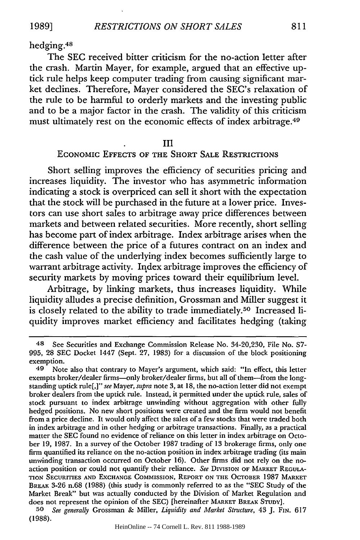hedging.48

The **SEC** received bitter criticism for the no-action letter after the crash. Martin Mayer, for example, argued that an effective uptick rule helps keep computer trading from causing significant market declines. Therefore, Mayer considered the SEC's relaxation of the rule to be harmful to orderly markets and the investing public and to be a major factor in the crash. The validity of this criticism must ultimately rest on the economic effects of index arbitrage.49

### **III**

# **ECONOMIC EFFECTS** OF THE SHORT **SALE** RESTRICTIONS

Short selling improves the efficiency of securities pricing and increases liquidity. The investor who has asymmetric information indicating a stock is overpriced can sell it short with the expectation that the stock will be purchased in the future at a lower price. Investors can use short sales to arbitrage away price differences between markets and between related securities. More recently, short selling has become part of index arbitrage. Index arbitrage arises when the difference between the price of a futures contract on an index and the cash value of the underlying index becomes sufficiently large to warrant arbitrage activity. Index arbitrage improves the efficiency of security markets **by** moving prices toward their equilibrium level.

Arbitrage, **by** linking markets, thus increases liquidity. While liquidity alludes a precise definition, Grossman and Miller suggest it is closely related to the ability to trade immediately.<sup>50</sup> Increased liquidity improves market efficiency and facilitates hedging (taking

*50 See generally* Grossman **&** Miller, *Liquidity and Market Structure,* 43 **J.** FIN. **617 (1988).**

<sup>48</sup> See Securities and Exchange Commission Release No. 34-20,230, File No. **S7- 995, 28 SEC** Docket 1447 (Sept. **27, 1983)** for a discussion of the block positioning exemption.

**<sup>49</sup>** Note also that contrary to Mayer's argument, which said: "In effect, this letter exempts broker/dealer firms-only broker/dealer firms, but all of them--from the longstanding uptick rule[,]" *see* Mayer, *supra* note **3,** at **18,** the no-action letter did not exempt broker dealers from the uptick rule. Instead, it permitted under the uptick rule, sales of stock pursuant to index arbitrage unwinding without aggregation with other fully hedged positions. No new short positions were created and the firm would not benefit from a price decline. It would only affect the sales of a few stocks that were traded both in index arbitrage and in other hedging or arbitrage transactions. Finally, as a practical matter the **SEC** found no evidence of reliance on this letter in index arbitrage on October **19, 1987.** In a survey of the October **1987** trading of **13** brokerage firms, only one firm quantified its reliance on the no-action position in index arbitrage trading (its main unwinding transaction occurred on October **16).** Other firms did not rely on the noaction position or could not quantify their reliance. *See* DIVISION OF MARKET **REGULA-TION** SECURITIES **AND EXCHANGE** COMMISSION, REPORT **ON** THE OCTOBER **1987** MARKET BREAK **3-26** n.68 **(1988)** (this study is commonly referred to as the **"SEC** Study of the Market Break" but was actually conducted **by** the Division of Market Regulation and does not represent the opinion of the **SEC)** [hereinafter **MARKET BREAK STUDY].**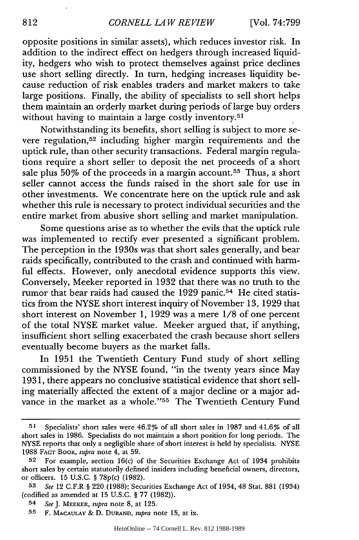opposite positions in similar assets), which reduces investor risk. In addition to the indirect effect on hedgers through increased liquidity, hedgers who wish to protect themselves against price declines use short selling directly. In turn, hedging increases liquidity because reduction of risk enables traders and market makers to take large positions. Finally, the ability of specialists to sell short helps them maintain an orderly market during periods of large buy orders without having to maintain a large costly inventory.<sup>51</sup>

Notwithstanding its benefits, short selling is subject to more severe regulation,<sup>52</sup> including higher margin requirements and the uptick rule, than other security transactions. Federal margin regulations require a short seller to deposit the net proceeds of a short sale plus  $50\%$  of the proceeds in a margin account.<sup>53</sup> Thus, a short seller cannot access the funds raised in the short sale for use in other investments. We concentrate here on the uptick rule and ask whether this rule is necessary to protect individual securities and the entire market from abusive short selling and market manipulation.

Some questions arise as to whether the evils that the uptick rule was implemented to rectify ever presented a significant problem. The perception in the 1930s was that short sales generally, and bear raids specifically, contributed to the crash and continued with harmful effects. However, only anecdotal evidence supports this view. Conversely, Meeker reported in 1932 that there was no truth to the rumor that bear raids had caused the 1929 panic.<sup>54</sup> He cited statistics from the NYSE short interest inquiry of November 13, 1929 that short interest on November 1, 1929 was a mere 1/8 of one percent of the total NYSE market value. Meeker argued that, if anything, insufficient short selling exacerbated the crash because short sellers eventually become buyers as the market falls.

In 1951 the Twentieth Century Fund study of short selling commissioned by the NYSE found, "in the twenty years since May 1931, there appears no conclusive statistical evidence that short selling materially affected the extent of a major decline or a major advance in the market as a whole."<sup>55</sup> The Twentieth Century Fund

**<sup>51</sup>** Specialists' short sales were 46.2% of all short sales in 1987 and 41.6% of all short sales in 1986. Specialists do not maintain a short position for long periods. The NYSE reports that only a negligible share of short interest is held by specialists. NYSE 1988 **FACT** BooK, *supra* note 4, at 59.

**<sup>52</sup>** For example, section 16(c) of the Securities Exchange Act of 1934 prohibits short sales by certain statutorily defined insiders including beneficial owners, directors, or officers. 15 U.S.C. § 78p(c) (1982).

*<sup>53</sup> See* 12 C.F.R § 220 (1988); Securities Exchange Act of 1934, 48 Stat. 881 (1934) (codified as amended at 15 U.S.C. § 77 (1982)).

<sup>54</sup> *SeeJ.* MEEKER, *supra* note 8, at 125.

**<sup>55</sup>** F. **MACAULAY** & D. **DURAND,** *supra* note 15, at ix.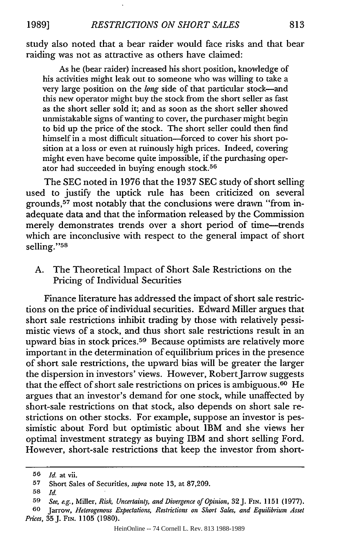study also noted that a bear raider would face risks and that bear raiding was not as attractive as others have claimed:

As he (bear raider) increased his short position, knowledge of his activities might leak out to someone who was willing to take a very large position on the *long* side of that particular stock-and this new operator might buy the stock from the short seller as fast as the short seller sold it; and as soon as the short seller showed unmistakable signs of wanting to cover, the purchaser might begin to bid up the price of the stock. The short seller could then find himself in a most difficult situation-forced to cover his short position at a loss or even at ruinously high prices. Indeed, covering might even have become quite impossible, if the purchasing operator had succeeded in buying enough stock.<sup>56</sup>

The SEC noted in 1976 that the 1937 SEC study of short selling used to justify the uptick rule has been criticized on several grounds, 57 most notably that the conclusions were drawn "from inadequate data and that the information released by the Commission merely demonstrates trends over a short period of time-trends which are inconclusive with respect to the general impact of short selling."<sup>58</sup>

A. The Theoretical Impact of Short Sale Restrictions on the Pricing of Individual Securities

Finance literature has addressed the impact of short sale restrictions on the price of individual securities. Edward Miller argues that short sale restrictions inhibit trading by those with relatively pessimistic views of a stock, and thus short sale restrictions result in an upward bias in stock prices.<sup>59</sup> Because optimists are relatively more important in the determination of equilibrium prices in the presence of short sale restrictions, the upward bias will be greater the larger the dispersion in investors' views. However, Robert Jarrow suggests that the effect of short sale restrictions on prices is ambiguous. 60 He argues that an investor's demand for one stock, while unaffected by short-sale restrictions on that stock, also depends on short sale restrictions on other stocks. For example, suppose an investor is pessimistic about Ford but optimistic about IBM and she views her optimal investment strategy as buying IBM and short selling Ford. However, short-sale restrictions that keep the investor from short-

**<sup>56</sup>** *Id.* at vii.

**<sup>57</sup>** Short Sales of Securities, *supra* note 13, at **87,209.**

**<sup>58</sup>** *Id.*

**<sup>59</sup>** *See, e.g.,* Miller, *Risk, Uncertainty, and Divergence of Opinion,* 32J. FIN. 1151 (1977).

**<sup>60</sup>** Jarrow, *Heterogenous Expectations, Restrictions on Short Sales, and Equilibrium Asset Prices,* 35J. FIN. **1105** (1980).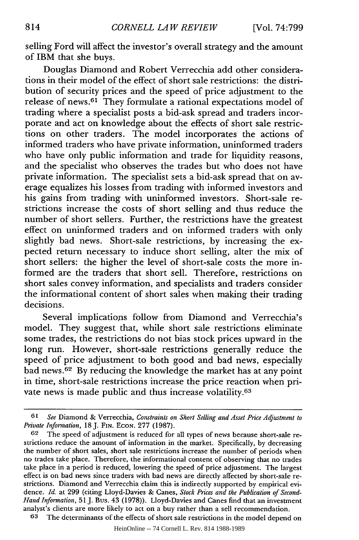selling Ford will affect the investor's overall strategy and the amount of IBM that she buys.

Douglas Diamond and Robert Verrecchia add other considerations in their model of the effect of short sale restrictions: the distribution of security prices and the speed of price adjustment to the release of news. 61 They formulate a rational expectations model of trading where a specialist posts a bid-ask spread and traders incorporate and act on knowledge about the effects of short sale restrictions on other traders. The model incorporates the actions of informed traders who have private information, uninformed traders who have only public information and trade for liquidity reasons, and the specialist who observes the trades but who does not have private information. The specialist sets a bid-ask spread that on average equalizes his losses from trading with informed investors and his gains from trading with uninformed investors. Short-sale restrictions increase the costs of short selling and thus reduce the number of short sellers. Further, the restrictions have the greatest effect on uninformed traders and on informed traders with only slightly bad news. Short-sale restrictions, by increasing the expected return necessary to induce short selling, alter the mix of short sellers: the higher the level of short-sale costs the more informed are the traders that short sell. Therefore, restrictions on short sales convey information, and specialists and traders consider the informational content of short sales when making their trading decisions.

Several implications follow from Diamond and Verrecchia's model. They suggest that, while short sale restrictions eliminate some trades, the restrictions do not bias stock prices upward in the long run. However, short-sale restrictions generally reduce the speed of price adjustment to both good and bad news, especially bad news. 62 By reducing the knowledge the market has at any point in time, short-sale restrictions increase the price reaction when private news is made public and thus increase volatility.<sup>63</sup>

**<sup>61</sup>** *See* Diamond & Verrecchia, *Constraints on Short Selling and Asset Price Adjustment to Private Information,* 18J. FIN. **ECON.** 277 (1987).

**<sup>62</sup>** The speed of adjustment is reduced for all types of news because short-sale restrictions reduce the amount of information in the market. Specifically, by decreasing the number of short sales, short sale restrictions increase the number of periods when no trades take place. Therefore, the informational content of observing that no trades take place in a period is reduced, lowering the speed of price adjustment. The largest effect is on bad news since traders with bad news are directly affected by short-sale restrictions. Diamond and Verrecchia claim this is indirectly supported by empirical evidence. *Id.* at 299 (citing Lloyd-Davies & Canes, *Stock Prices and the Publication of Second-Hand Information,* 51 **J.** Bus. 43 (1978)). Lloyd-Davies and Canes find that an investment analyst's clients are more likely to act on a buy rather than a sell recommendation.

**<sup>63</sup>** The determinants of the effects of short sale restrictions in the model depend on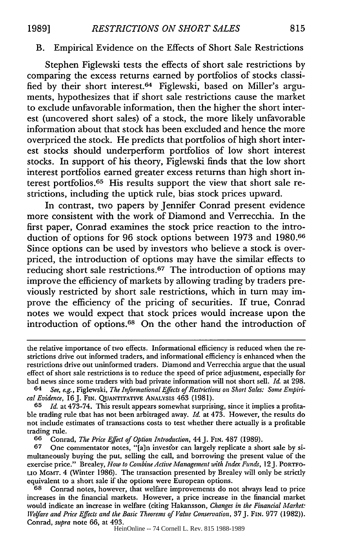# B. Empirical Evidence on the Effects of Short Sale Restrictions

Stephen Figlewski tests the effects of short sale restrictions by comparing the excess returns earned by portfolios of stocks classified by their short interest.64 Figlewski, based on Miller's arguments, hypothesizes that if short sale restrictions cause the market to exclude unfavorable information, then the higher the short interest (uncovered short sales) of a stock, the more likely unfavorable information about that stock has been excluded and hence the more overpriced the stock. He predicts that portfolios of high short interest stocks should underperform portfolios of low short interest stocks. In support of his theory, Figlewski finds that the low short interest portfolios earned greater excess returns than high short interest portfolios. 65 His results support the view that short sale restrictions, including the uptick rule, bias stock prices upward.

In contrast, two papers by Jennifer Conrad present evidence more consistent with the work of Diamond and Verrecchia. In the first paper, Conrad examines the stock price reaction to the introduction of options for 96 stock options between 1973 and 1980.66 Since options can be used by investors who believe a stock is overpriced, the introduction of options may have the similar effects to reducing short sale restrictions.<sup>67</sup> The introduction of options may improve the efficiency of markets by allowing trading by traders previously restricted by short sale restrictions, which in turn may improve the efficiency of the pricing of securities. If true, Conrad notes we would expect that stock prices would increase upon the introduction of options.<sup>68</sup> On the other hand the introduction of

**65** *Id.* at 473-74. This result appears somewhat surprising, since it implies a profitable trading rule that has not been arbitraged away. *Id.* at 473. However, the results do not include estimates of transactions costs to test whether there actually is a profitable trading rule.

**66** Conrad, *The Price Effect of Option Introduction,* 44J. FIN. 487 (1989).

**67** One commentator notes, "[a]n investor can largely replicate a short sale by simultaneously buying the put, selling the call, and borrowing the present value of the exercise price." Brealey, *How to Combine Active Management with Index Funds,* 12J. PORTFO-LIO MGrr. 4 (Winter 1986). The transaction presented by Brealey will only be strictly equivalent to a short sale if the options were European options.

**68** Conrad notes, however, that welfare improvements do not always lead to price increases in the financial markets. However, a price increase in the financial market would indicate an increase in welfare (citing Hakansson, *Changes in the Financial Market: Welfare and Price Effects and the Basic Theorems of Value Conservation, 37 J. FIN. 977 (1982)).* Conrad, *supra* note 66, at 493.

HeinOnline -- 74 Cornell L. Rev. 815 1988-1989

the relative importance of two effects. Informational efficiency is reduced when the restrictions drive out informed traders, and informational efficiency is enhanced when the restrictions drive out uninformed traders. Diamond and Verrecchia argue that the usual effect of short sale restrictions is to reduce the speed of price adjustment, especially for bad news since some traders with bad private information will not short sell. *Id.* at 298.

<sup>64</sup> *See, e.g.,* Figlewski, *The Informational Effects of Restrictions on Short Sales: Some Empirical Evidence,* 16J. **FIN. QUANTITATIVE** ANALYSIS 463 (1981).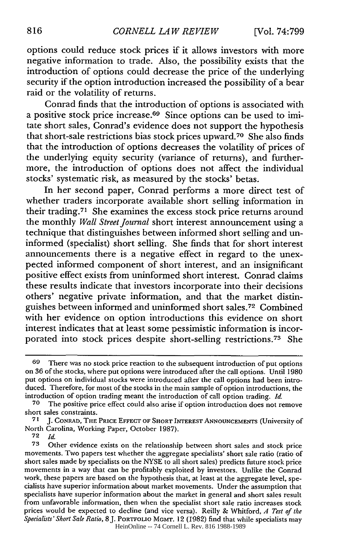options could reduce stock prices if it allows investors with more negative information to trade. Also, the possibility exists that the introduction of options could decrease the price of the underlying security if the option introduction increased the possibility of a bear raid or the volatility of returns.

Conrad finds that the introduction of options is associated with a positive stock price increase.<sup>69</sup> Since options can be used to imitate short sales, Conrad's evidence does not support the hypothesis that short-sale restrictions bias stock prices upward. 70 She also finds that the introduction of options decreases the volatility of prices of the underlying equity security (variance of returns), and furthermore, the introduction of options does not affect the individual stocks' systematic risk, as measured by the stocks' betas.

In her second paper, Conrad performs a more direct test of whether traders incorporate available short selling information in their trading.<sup>71</sup> She examines the excess stock price returns around the monthly *Wall Street Journal* short interest announcement using a technique that distinguishes between informed short selling and uninformed (specialist) short selling. She finds that for short interest announcements there is a negative effect in regard to the unexpected informed component of short interest, and an insignificant positive effect exists from uninformed short interest. Conrad claims these results indicate that investors incorporate into their decisions others' negative private information, and that the market distinguishes between informed and uninformed short sales. 72 Combined with her evidence on option introductions this evidence on short interest indicates that at least some pessimistic information is incorporated into stock prices despite short-selling restrictions. 73 She

**72** *Id.*

**<sup>69</sup>** There was no stock price reaction to the subsequent introduction of put options on 36 of the stocks, where put options were introduced after the call options. Until 1980 put options on individual stocks were introduced after the call options had been introduced. Therefore, for most of the stocks in the main sample of option introductions, the introduction of option trading meant the introduction of call option trading. *Id.*

**<sup>70</sup>** The positive price effect could also arise if option introduction does not remove short sales constraints.

**<sup>71</sup> J. CONRAD, THE PRICE EFFECT** OF SHORT INTEREST **ANNOUNCEMENTS** (University of North Carolina, Working Paper, October 1987).

**<sup>73</sup>** Other evidence exists on the relationship between short sales and stock price movements. Two papers test whether the aggregate specialists' short sale ratio (ratio of short sales made by specialists on the NYSE to all short sales) predicts future stock price movements in a way that can be profitably exploited by investors. Unlike the Conrad work, these papers are based on the hypothesis that, at least at the aggregate level, specialists have superior information about market movements. Under the assumption that specialists have superior information about the market in general and short sales result from unfavorable information, then when the specialist short sale ratio increases stock prices would be expected to decline (and vice versa). Reilly & Whitford, *A Test of the Specialists'* Short Sale *Ratio,* 8J. PORTFOLIO MGMT. 12 (1982) find that while specialists may HeinOnline -- 74 Cornell L. Rev. 816 1988-1989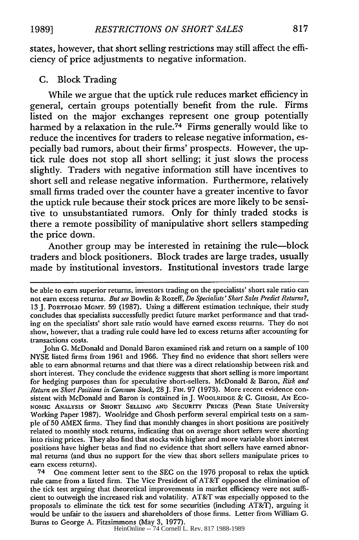states, however, that short selling restrictions may still affect the efficiency of price adjustments to negative information.

### **C.** Block Trading

While we argue that the uptick rule reduces market efficiency in general, certain groups potentially benefit from the rule. Firms listed on the major exchanges represent one group potentially harmed **by** a relaxation in the rule.74 Firms generally would like to reduce the incentives for traders to release negative information, especially bad rumors, about their firms' prospects. However, the uptick rule does not stop all short selling; it just slows the process slightly. Traders with negative information still have incentives to short sell and release negative information. Furthermore, relatively small firms traded over the counter have a greater incentive to favor the uptick rule because their stock prices are more likely to be sensitive to unsubstantiated rumors. Only for thinly traded stocks is there a remote possibility of manipulative short sellers stampeding the price down.

Another group may be interested in retaining the rule-block traders and block positioners. Block trades are large trades, usually made **by** institutional investors. Institutional investors trade large

be able to earn superior returns, investors trading on the specialists' short sale ratio can not earn excess returns. *But see* Bowlin & Rozeff, *Do Specialists' Short Sales Predict Returns?,* 13 J. PORTFOLIO MGMT. 59 (1987). Using a different estimation technique, their study concludes that specialists successfully predict future market performance and that trading on the specialists' short sale ratio would have earned excess returns. They do not show, however, that a trading rule could have led to excess returns after accounting for transactions costs.

John G. McDonald and Donald Baron examined risk and return on a sample of **100** NYSE listed firms from 1961 and 1966. They find no evidence that short sellers were able to earn abnormal returns and that there was a direct relationship between risk and short interest. They conclude the evidence suggests that short selling is more important for hedging purposes than for speculative short-sellers. McDonald **&** Baron, *Risk and Return on Short Positions in Common* Stock, 28J. FIN. 97 (1973). More recent evidence consistent with McDonald and Baron is contained in J. WOOLRIDGE & C. **GHOSH,** AN Eco-NOMIC **ANALYSIS** OF SHORT SELLING **AND** SECURITY PRICES (Penn State University Working Paper 1987). Woolridge and Ghosh perform several empirical tests on a sample of 50 AMEX firms. They find that monthly changes in short positions are positively related to monthly stock returns, indicating that on average short sellers were shorting into rising prices. They also find that stocks with higher and more variable short interest positions have higher betas and find no evidence that short sellers have earned abnormal returns (and thus no support for the view that short sellers manipulate prices to earn excess returns).

<sup>74</sup> One comment letter sent to the **SEC** on the 1976 proposal to relax the uptick rule came from a listed firm. The Vice President of AT&T opposed the elimination of the tick test arguing that theoretical improvements in market efficiency were not sufficient to outweigh the increased risk and volatility. AT&T was especially opposed to the proposals to eliminate the tick test for some securities (including AT&T), arguing it would be unfair to the issuers and shareholders of those firms. Letter from William G. Burns to George A. Fitzsimmons (May **3,** 1977).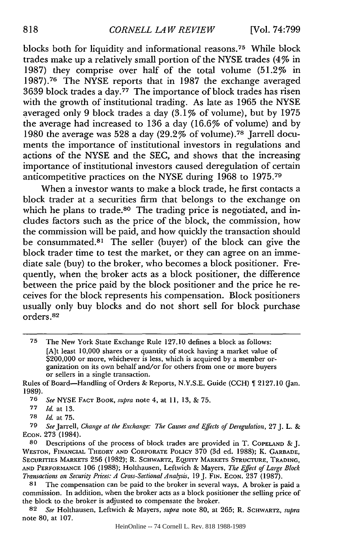blocks both for liquidity and informational reasons. 75 While block trades make up a relatively small portion of the NYSE trades (4% in 1987) they comprise over half of the total volume (51.2% in 1987).76 The NYSE reports that in 1987 the exchange averaged 3639 block trades a day. $77$  The importance of block trades has risen with the growth of institutional trading. As late as 1965 the NYSE averaged only 9 block trades a day (3.1% of volume), but by 1975 the average had increased to 136 a day (16.6% of volume) and by 1980 the average was 528 a day  $(29.2\% \text{ of volume})$ .<sup>78</sup> Jarrell documents the importance of institutional investors in regulations and actions of the NYSE and the SEC, and shows that the increasing importance of institutional investors caused deregulation of certain anticompetitive practices on the NYSE during  $1968$  to  $1975.^{79}$ 

When a investor wants to make a block trade, he first contacts a block trader at a securities firm that belongs to the exchange on which he plans to trade.<sup>80</sup> The trading price is negotiated, and includes factors such as the price of the block, the commission, how the commission will be paid, and how quickly the transaction should be consummated.<sup>81</sup> The seller (buyer) of the block can give the block trader time to test the market, or they can agree on an immediate sale (buy) to the broker, who becomes a block positioner. Frequently, when the broker acts as a block positioner, the difference between the price paid by the block positioner and the price he receives for the block represents his compensation. Block positioners usually only buy blocks and do not short sell for block purchase orders.82

**<sup>75</sup>** The New York State Exchange Rule 127.10 defines a block as follows: [A]t least 10,000 shares or a quantity of stock having a market value of \$200,000 or more, whichever is less, which is acquired by a member organization on its own behalf and/or for others from one or more buyers or sellers in a single transaction.

Rules of Board-Handling of Orders & Reports, N.Y.S.E. Guide (CCH) 1 2127.10 (Jan. 1989).

**<sup>76</sup>** *See* NYSE FACT BOOK, *supra* note 4, at 11, 13, & 75.

**<sup>77</sup>** *Id.* at 13.

**<sup>78</sup>** *Id.* at 75.

**<sup>79</sup>** *See* Jarrell, *Change at the Exchange: The Causes and Effects of Deregulation,* 27 J. L. & **ECON.** 273 (1984).

**<sup>80</sup>** Descriptions of the process of block trades are provided in T. **COPELAND** & J. **WESTON, FINANCIAL** THEORY **AND** CORPORATE POLICY 370 (3d ed. 1988); K. **GARBADE, SECURITIES MARKETS** 256 (1982); R. **SCHWARTZ, EQUITY MARKETS STRUCTURE, TRADING, AND PERFORMANCE** 106 (1988); Holthausen, Leftwich & Mayers, *The Effect of Large Block Transactions on Security Prices: A Cross-Sectional Analysis,* 19 J. **FIN. ECON.** 237 (1987).

**<sup>81</sup>** The compensation can be paid to the broker in several ways. A broker is paid a commission. In addition, when the broker acts as a block positioner the selling price of the block to the broker is adjusted to compensate the broker.

**<sup>82</sup>** *See* Holthausen, Leftwich & Mayers, *supra* note 80, at 265; R. SCHWARTZ, *supra* note 80, at 107.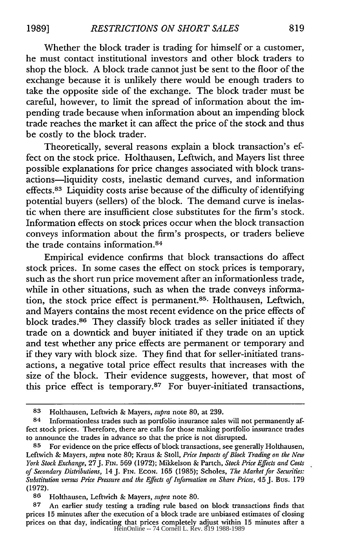Whether the block trader is trading for himself or a customer, he must contact institutional investors and other block traders to shop the block. A block trade cannot just be sent to the floor of the exchange because it is unlikely there would be enough traders to take the opposite side of the exchange. The block trader must be careful, however, to limit the spread of information about the impending trade because when information about an impending block trade reaches the market it can affect the price of the stock and thus be costly to the block trader.

Theoretically, several reasons explain a block transaction's effect on the stock price. Holthausen, Leftwich, and Mayers list three possible explanations for price changes associated with block transactions-liquidity costs, inelastic demand curves, and information effects.<sup>83</sup> Liquidity costs arise because of the difficulty of identifying potential buyers (sellers) of the block. The demand curve is inelastic when there are insufficient close substitutes for the firm's stock. Information effects on stock prices occur when the block transaction conveys information about the firm's prospects, or traders believe the trade contains information.<sup>84</sup>

Empirical evidence confirms that block transactions do affect stock prices. In some cases the effect on stock prices is temporary, such as the short run price movement after an informationless trade, while in other situations, such as when the trade conveys information, the stock price effect is permanent.85 . Holthausen, Leftwich, and Mayers contains the most recent evidence on the price effects of block trades. 86 They classify block trades as seller initiated if they trade on a downtick and buyer initiated if they trade on an uptick and test whether any price effects are permanent or temporary and if they vary with block size. They find that for seller-initiated transactions, a negative total price effect results that increases with the size of the block. Their evidence suggests, however, that most of this price effect is temporary. $87$  For buyer-initiated transactions,

**<sup>83</sup>** Holthausen, Leftwich & Mayers, supra note 80, at 239.

<sup>84</sup> Informationless trades such as portfolio insurance sales will not permanently affect stock prices. Therefore, there are calls for those making portfolio insurance trades to announce the trades in advance so that the price is not disrupted.

**<sup>85</sup>** For evidence on the price effects of block transactions, see generally Holthausen, Leftwich & Mayers, supra note 80; Kraus & Stoll, Price Impacts of Block Trading on the New York Stock Exchange, 27J. **FIN.** 569 (1972); Mikkelson & Partch, Stock Price Effects and Costs of Secondary Distributions, 14J. FIN. ECON. 165 (1985); Scholes, The Market for Securities: Substitution versus Price Pressure and the Effects of Information on Share Prices, 45 J. Bus. 179 (1972).

**<sup>86</sup>** Holthausen, Leftwich & Mayers, supra note 80.

**<sup>87</sup>** An earlier study testing a trading rule based on block transactions finds that prices 15 minutes after the execution of a block trade are unbiased estimates of closing prices on that day, indicating that prices completely adjust within 15 minutes after a HeinOnline -- 74 Cornell L. Rev. 819 1988-1989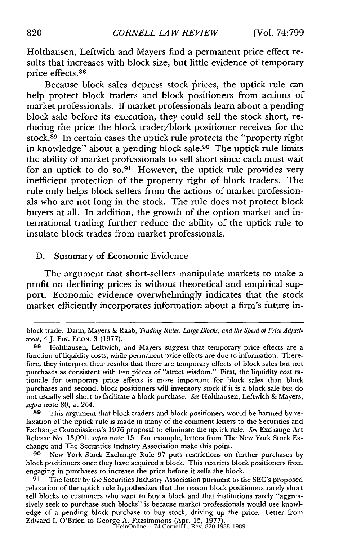Holthausen, Leftwich and Mayers find a permanent price effect results that increases with block size, but little evidence of temporary price effects. <sup>88</sup>

Because block sales depress stock prices, the uptick rule can help protect block traders and block positioners from actions of market professionals. If market professionals learn about a pending block sale before its execution, they could sell the stock short, reducing the price the block trader/block positioner receives for the stock.<sup>89</sup> In certain cases the uptick rule protects the "property right in knowledge" about a pending block sale.<sup>90</sup> The uptick rule limits the ability of market professionals to sell short since each must wait for an uptick to do so.<sup>91</sup> However, the uptick rule provides very inefficient protection of the property right of block traders. The rule only helps block sellers from the actions of market professionals who are not long in the stock. The rule does not protect block buyers at all. In addition, the growth of the option market and international trading further reduce the ability of the uptick rule to insulate block trades from market professionals.

### **D.** Summary of Economic Evidence

The argument that short-sellers manipulate markets to make a profit on declining prices is without theoretical and empirical support. Economic evidence overwhelmingly indicates that the stock market efficiently incorporates information about a firm's future in-

**89** This argument that block traders and block positioners would be harmed by relaxation of the uptick rule is made in many of the comment letters to the Securities and Exchange Commissions's 1976 proposal to eliminate the uptick rule. *See* Exchange Act Release No. 13,091, *supra* note 13. For example, letters from The New York Stock Exchange and The Securities Industry Association make this point.

**90** New York Stock Exchange Rule 97 puts restrictions on further purchases by block positioners once they have acquired a block. This restricts block positioners from engaging in purchases to increase the price before it sells the block.

**91** The letter by the Securities Industry Association pursuant to the SEC's proposed relaxation of the uptick rule hypothesizes that the reason block positioners rarely short sell blocks to customers who want to buy a block and that institutions rarely "aggressively seek to purchase such blocks" is because market professionals would use knowledge of a pending block purchase to buy stock, driving up the price. Letter from Edward I. O'Brien to George A. Fitzsimmons (Apr. 15, 1977). HeinOnline -- 74 Cornell L. Rev. 820 1988-1989

block trade. Dann, Mayers & Raab, *Trading Rules, Large Blocks, and the Speed of Price Adjustment,* 4 J. **FIN.** ECON. 3 (1977).

**<sup>88</sup>** Holthausen, Leftwich, and Mayers suggest that temporary price effects are a function of liquidity costs, while permanent price effects are due to information. Therefore, they interpret their results that there are temporary effects of block sales but not purchases as consistent with two pieces of "street wisdom." First, the liquidity cost rationale for temporary price effects is more important for block sales than block purchases and second, block positioners will inventory stock if it is a block sale but do not usually sell short to facilitate a block purchase. *See* Holthausen, Leftwich & Mayers, *supra* note **80,** at 264.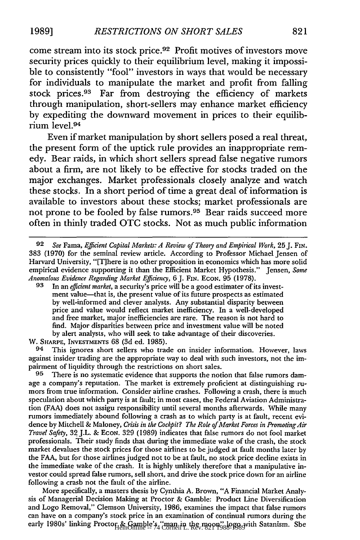come stream into its stock price.92 Profit motives of investors move security prices quickly to their equilibrium level, making it impossible to consistently "fool" investors in ways that would be necessary for individuals to manipulate the market and profit from falling stock prices.<sup>93</sup> Far from destroying the efficiency of markets through manipulation, short-sellers may enhance market efficiency by expediting the downward movement in prices to their equilibrium level. <sup>94</sup>

Even if market manipulation by short sellers posed a real threat, the present form of the uptick rule provides an inappropriate remedy. Bear raids, in which short sellers spread false negative rumors about a firm, are not likely to be effective for stocks traded on the major exchanges. Market professionals closely analyze and watch these stocks. In a short period of time a great deal of information is available to investors about these stocks; market professionals are not prone to be fooled by false rumors.<sup>95</sup> Bear raids succeed more often in thinly traded **OTC** stocks. Not as much public information

W. SHARPE, INVESTMENTS 68 (3d ed. 1985).

**94** This ignores short sellers who trade on insider information. However, laws against insider trading are the appropriate way to deal with such investors, not the impairment of liquidity through the restrictions on short sales.

**95** There is no systematic evidence that supports the notion that false rumors damage a company's reputation. The market is extremely proficient at distinguishing rumors from true information. Consider airline crashes. Following a crash, there is much speculation about which party is at fault; in most cases, the Federal Aviation Administration (FAA) does not assigu responsibility until several months afterwards. While many rumors immediately abound following a crash as to which party is at fault, recent evidence by Mitchell & Maloney, *Crisis in the Cockpit? The Role of Market Forces in PromotingAir Travel Safety,* 32 J.L. & EcON. 329 (1989) indicates that false rumors do not fool market professionals. Their study finds that during the immediate wake of the crash, the stock market devalues the stock prices for those airlines to be judged at fault months later by the FAA, but for those airlines judged not to be at fault, no stock price decline exists in the immediate wake of the crash. It is highly unlikely therefore that a manipulative investor could spread false rumors, sell short, and drive the stock price down for an airline following a crash not the fault of the airline.

More specifically, a masters thesis by Cynthia A. Brown, "A Financial Market Analysis of Managerial Decision Making at Proctor & Gamble: Product Line Diversification and Logo Removal," Clemson University, 1986, examines the impact that false rumors can have on a company's stock price in an examination of continual rumors during the early 1980s' linking Proctor & Gamble's "man in the moon" logo with Satanism. She

*<sup>92</sup> See* Fama, *Efficient Capital Markets: A Review of Theory and Empirical Work,* 25 J. FiN. 383 (1970) for the seminal review article. According to Professor Michael Jensen of Harvard University, "[There is no other proposition in economics which has more solid empirical evidence supporting it than the Efficient Market Hypothesis." Jensen, *Some Anomalous Evidence Regarding Market Efficiency,* **6J.** FIN. ECON. 95 (1978).

**<sup>93</sup>** In an *efficient market,* a security's price will be a good estimater of its investment value-that is, the present value of its future prospects as estimated by well-informed and clever analysts. Any substantial disparity between price and value would reflect market inefficiency. In a well-developed and free market, major inefficiencies are rare. The reason is not hard to find. Major disparities between price and investment value will be noted by alert analysts, who will seek to take advantage of their discoveries.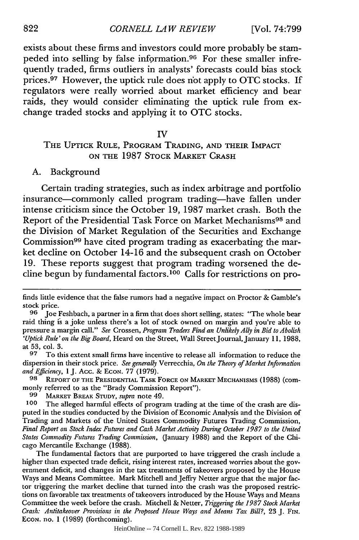exists about these firms and investors could more probably be stampeded into selling by false information. 96 For these smaller infrequently traded, firms outliers in analysts' forecasts could bias stock prices.97 However, the uptick rule does not apply to OTC stocks. If regulators were really worried about market efficiency and bear raids, they would consider eliminating the uptick rule from exchange traded stocks and applying it to OTC stocks.

#### IV

# THE UPTICK RULE, PROGRAM TRADING, AND THEIR IMPACT **ON** THE **1987** STOCK MARKET CRASH

#### **A.** Background

Certain trading strategies, such as index arbitrage and portfolio insurance-commonly called program trading-have fallen under intense criticism since the October **19, 1987** market crash. Both the Report of the Presidential Task Force on Market Mechanisms<sup>98</sup> and the Division of Market Regulation of the Securities and Exchange Commission<sup>99</sup> have cited program trading as exacerbating the market decline on October 14-16 and the subsequent crash on October **19.** These reports suggest that program trading worsened the decline begun **by** fundamental factors.' 00 Calls for restrictions on pro-

**97** To this extent small firms have incentive to release all information to reduce the dispersion in their stock price. *See generally* Verrecchia, *On the Theory of Market Information and Efficiency,* 1 J. Acc. & ECON. 77 (1979).

**98** REPORT OF **THE PRESIDENTIAL TASK** FORCE **ON MARKET MECHANISMS** (1988) (commonly referred to as the "Brady Commission Report").

**99** MARKET BREAK **STUDY,** *supra* note 49.

**100** The alleged harmful effects of program trading at the time of the crash are disputed in the studies conducted by the Division of Economic Analysis and the Division of Trading and Markets of the United States Commodity Futures Trading Commission, *Final Report on Stock Index Futures and Cash* Market *Activity During October 1987 to the United States Commodity Futures Trading Commission,* (January 1988) and the Report of the Chicago Mercantile Exchange (1988).

The fundamental factors that are purported to have triggered the crash include a higher than expected trade deficit, rising interest rates, increased worries about the government deficit, and changes in the tax treatments of takeovers proposed by the House Ways and Means Committee. Mark Mitchell and Jeffry Netter argue that the major factor triggering the market decline that turned into the crash was the proposed restrictions on favorable tax treatments of takeovers introduced by the House Ways and Means Committee the week before the crash. Mitchell & Netter, *Triggering the 1987 Stock Market Crash: Antitakeover Provisions in the Proposed House Ways and Means Tax Bill?,* 23 J. FIN. **ECON.** no. 1 (1989) (forthcoming).

HeinOnline -- 74 Cornell L. Rev. 822 1988-1989

finds little evidence that the false rumors had a negative impact on Proctor & Gamble's stock price. **<sup>96</sup>**Joe Feshbach, a partner in a firm that does short selling, states: "The whole bear

raid thing is a joke unless there's a lot of stock owned on margin and you're able to pressure a margin call." *See* Crossen, *Program Traders Find an Unlikely Ally in Bid to Abolish 'Uptick Rule' on the Big Board,* Heard on the Street, Wall StreetJournal, January **11,** 1988, at 53, col. 3.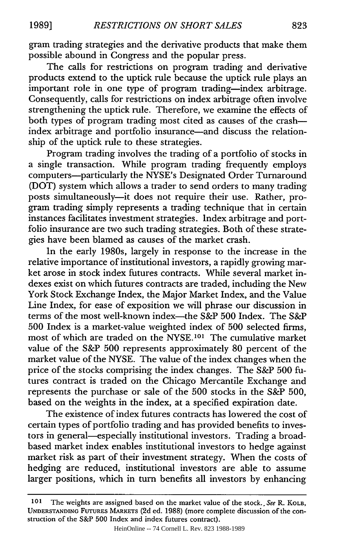gram trading strategies and the derivative products that make them possible abound in Congress and the popular press.

The calls for restrictions on program trading and derivative products extend to the uptick rule because the uptick rule plays an important role in one type of program trading-index arbitrage. Consequently, calls for restrictions on index arbitrage often involve strengthening the uptick rule. Therefore, we examine the effects of both types of program trading most cited as causes of the crashindex arbitrage and portfolio insurance-and discuss the relationship of the uptick rule to these strategies.

Program trading involves the trading of a portfolio of stocks in a single transaction. While program trading frequently employs computers-particularly the NYSE's Designated Order Turnaround (DOT) system which allows a trader to send orders to many trading posts simultaneously-it does not require their use. Rather, program trading simply represents a trading technique that in certain instances facilitates investment strategies. Index arbitrage and portfolio insurance are two such trading strategies. Both of these strategies have been blamed as causes of the market crash.

In the early 1980s, largely in response to the increase in the relative importance of institutional investors, a rapidly growing market arose in stock index futures contracts. While several market indexes exist on which futures contracts are traded, including the New York Stock Exchange Index, the Major Market Index, and the Value Line Index, for ease of exposition we will phrase our discussion in terms of the most well-known index-the S&P 500 Index. The S&P 500 Index is a market-value weighted index of 500 selected firms, most of which are traded on the NYSE.<sup>101</sup> The cumulative market value of the S&P 500 represents approximately 80 percent of the market value of the NYSE. The value of the index changes when the price of the stocks comprising the index changes. The S&P 500 futures contract is traded on the Chicago Mercantile Exchange and represents the purchase or sale of the 500 stocks in the S&P 500, based on the weights in the index, at a specified expiration date.

The existence of index futures contracts has lowered the cost of certain types of portfolio trading and has provided benefits to investors in general—especially institutional investors. Trading a broadbased market index enables institutional investors to hedge against market risk as part of their investment strategy. When the costs of hedging are reduced, institutional investors are able to assume larger positions, which in turn benefits all investors by enhancing

**<sup>101</sup>** The weights are assigned based on the market value of the stock.. See R. KOLB, **UNDERSTANDING FUTURES** MARKETS (2d ed. 1988) (more complete discussion of the construction of the S&P 500 Index and index futures contract).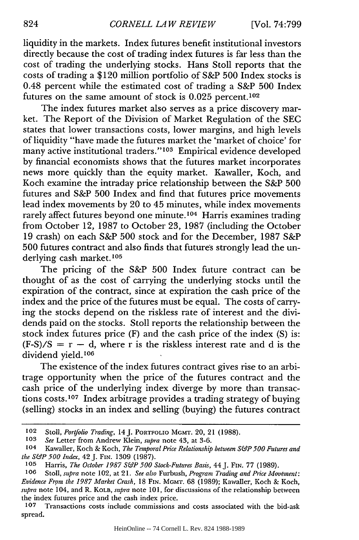liquidity in the markets. Index futures benefit institutional investors directly because the cost of trading index futures is far less than the cost of trading the underlying stocks. Hans Stoll reports that the costs of trading a \$120 million portfolio of S&P 500 Index stocks is 0.48 percent while the estimated cost of trading a S&P 500 Index futures on the same amount of stock is  $0.025$  percent.<sup>102</sup>

The index futures market also serves as a price discovery market. The Report of the Division of Market Regulation of the SEC states that lower transactions costs, lower margins, and high levels of liquidity "have made the futures market the 'market of choice' for many active institutional traders." 103 Empirical evidence developed by financial economists shows that the futures market incorporates news more quickly than the equity market. Kawaller, Koch, and Koch examine the intraday price relationship between the S&P 500 futures and S&P 500 Index and find that futures price movements lead index movements by 20 to 45 minutes, while index movements rarely affect futures beyond one minute.<sup>104</sup> Harris examines trading from October 12, 1987 to October 23, 1987 (including the October 19 crash) on each S&P 500 stock and for the December, 1987 S&P 500 futures contract and also finds that futures strongly lead the underlying cash market.<sup>105</sup>

The pricing of the S&P 500 Index future contract can be thought of as the cost of carrying the underlying stocks until the expiration of the contract, since at expiration the cash price of the index and the price of the futures must be equal. The costs of carrying the stocks depend on the riskless rate of interest and the dividends paid on the stocks. Stoll reports the relationship between the stock index futures price (F) and the cash price of the index **(S)** is:  $(F-S)/S = r - d$ , where r is the riskless interest rate and d is the dividend yield.<sup>106</sup>

The existence of the index futures contract gives rise to an arbitrage opportunity when the price of the futures contract and the cash price of the underlying index diverge by more than transactions costs.<sup>107</sup> Index arbitrage provides a trading strategy of buying (selling) stocks in an index and selling (buying) the futures contract

**<sup>102</sup>** Stoll, *Portfolio Trading,* 14J. PORTFOLIO **MGMT.** 20, 21 **(1988).**

**<sup>103</sup>** *See* Letter from Andrew Klein, *supra* note 43, at 3-6.

**<sup>104</sup>** Kawaller, Koch & Koch, *The Temporal Price Relationship between S&P 500 Futures and the S&P 500 Index,* 42 **J.** FIN. **1309** (1987).

**<sup>105</sup>** Harris, *The October 1987 S&P 500 Stock-Futures Basis,* 44J. **FIN. 77** (1989).

**<sup>106</sup>** Stoll, *supra* note 102, at **21.** *See also* Furbush, *Program Trading and Price Movtsnent: Evidence From the 1987 Market Crash,* 18 **FIN. MGMT.** 68 (1989); Kawaller, Koch & Koch, *supra* note 104, and R. KOLB, *supra* note 101, for discussions of the relationship between the index futures price and the cash index price.

**<sup>107</sup>** Transactions costs include commissions and costs associated with the bid-ask spread.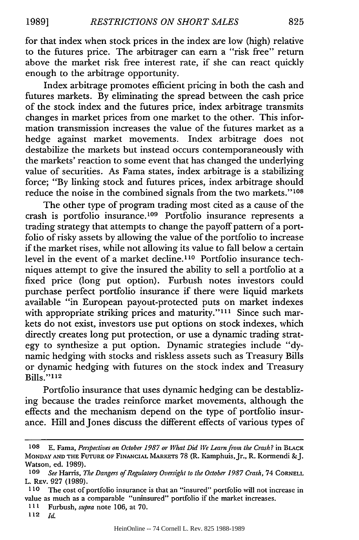for that index when stock prices in the index are low (high) relative to the futures price. The arbitrager can earn a "risk free" return above the market risk free interest rate, if she can react quickly enough to the arbitrage opportunity.

Index arbitrage promotes efficient pricing in both the cash and futures markets. By eliminating the spread between the cash price of the stock index and the futures price, index arbitrage transmits changes in market prices from one market to the other. This information transmission increases the value of the futures market as a hedge against market movements. Index arbitrage does not destabilize the markets but instead occurs contemporaneously with the markets' reaction to some event that has changed the underlying value of securities. As Fama states, index arbitrage is a stabilizing force; "By linking stock and futures prices, index arbitrage should reduce the noise in the combined signals from the two markets."<sup>108</sup>

The other type of program trading most cited as a cause of the crash is portfolio insurance.<sup>109</sup> Portfolio insurance represents a trading strategy that attempts to change the payoff pattern of a portfolio of risky assets by allowing the value of the portfolio to increase if the market rises, while not allowing its value to fall below a certain level in the event of a market decline.<sup>110</sup> Portfolio insurance techniques attempt to give the insured the ability to sell a portfolio at a fixed price (long put option). Furbush notes investors could purchase perfect portfolio insurance if there were liquid markets available "in European payout-protected puts on market indexes with appropriate striking prices and maturity."<sup>111</sup> Since such markets do not exist, investors use put options on stock indexes, which directly creates long put protection, or use a dynamic trading strategy to synthesize a put option. Dynamic strategies include "dynamic hedging with stocks and riskless assets such as Treasury Bills or dynamic hedging with futures on the stock index and Treasury Bills."<sup>112</sup>

Portfolio insurance that uses dynamic hedging can be destablizing because the trades reinforce market movements, although the effects and the mechanism depend on the type of portfolio insurance. Hill and Jones discuss the different effects of various types of

**112** *Id.*

**<sup>108</sup>** E. Fama, *Perspectives on October 1987 or What Did We Learn from the Crash?* in BLACK MONDAY **AND THE FUTURE OF FINANCIAL** MARKETS 78 (R. Kamphuis,Jr., R. Kormendi &J. Watson, ed. 1989).

**<sup>109</sup>** *See* Harris, *The Dangers of Regulatory Oversight to the October 1987 Crash,* 74 CORNELL L. REV. **927 (1989).**

**<sup>110</sup>** The cost of portfolio insurance is that an "insured" portfolio will not increase in value as much as a comparable "uninsured" portfolio if the market increases.

**III** Furbush, *supra* note 106, at 70.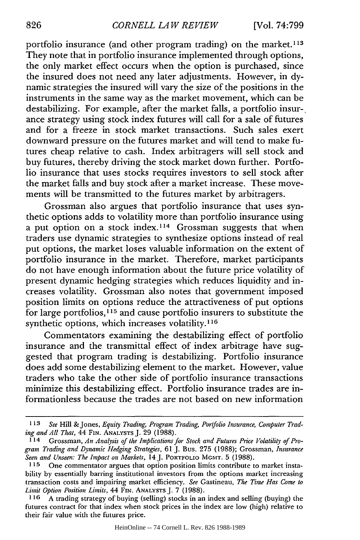portfolio insurance (and other program trading) on the market. <sup>113</sup> They note that in portfolio insurance implemented through options, the only market effect occurs when the option is purchased, since the insured does not need any later adjustments. However, in dynamic strategies the insured will vary the size of the positions in the instruments in the same way as the market movement, which can be destabilizing. For example, after the market falls, a portfolio insurance strategy using stock index futures will call for a sale of futures and for a freeze in stock market transactions. Such sales exert downward pressure on the futures market and will tend to make futures cheap relative to cash. Index arbitragers will sell stock and buy futures, thereby driving the stock market down further. Portfolio insurance that uses stocks requires investors to sell stock after the market falls and buy stock after a market increase. These movements will be transmitted to the futures market by arbitragers.

Grossman also argues that portfolio insurance that uses synthetic options adds to volatility more than portfolio insurance using a put option on a stock index.<sup>114</sup> Grossman suggests that when traders use dynamic strategies to synthesize options instead of real put options, the market loses valuable information on the extent of portfolio insurance in the market. Therefore, market participants do not have enough information about the future price volatility of present dynamic hedging strategies which reduces liquidity and increases volatility. Grossman also notes that government imposed position limits on options reduce the attractiveness of put options for large portfolios,  $\hat{1}^{15}$  and cause portfolio insurers to substitute the synthetic options, which increases volatility.<sup>116</sup>

Commentators examining the destabilizing effect of portfolio insurance and the transmittal effect of index arbitrage have suggested that program trading is destabilizing. Portfolio insurance does add some destabilizing element to the market. However, value traders who take the other side of portfolio insurance transactions minimize this destabilizing effect. Portfolio insurance trades are informationless because the trades are not based on new information

*<sup>113</sup> See* Hill & Jones, *Equity Trading, Program Trading, Portfolio Insurance, Computer Trading and All That,* 44 **FIN. ANALYSTS J.** 29 (1988).

**<sup>114</sup>** Grossman, *An Analysis of the Implications for Stock and Futures Price Volatility of Program Trading and Dynamic Hedging Strategies,* 61 J. Bus. 275 (1988); Grossman, *Insurance Seen and Unseen: The Impact on Markets,* 14 J. PORTFOLIO MGMT. 5 (1988).

**<sup>115</sup>** One commentator argues that option position limits contribute to market instability by essentially barring institutional investors from the options market increasing transaction costs and impairing market efficiency. *See* Gastineau, *The Time Has Come to Limit Option Position Limits, 44* **FIN. ANALYSTS** J. 7 (1988).

**<sup>116</sup>** A trading strategy of buying (selling) stocks in an index and selling (buying) the futures contract for that index when stock prices in the index are low (high) relative to their fair value with the futures price.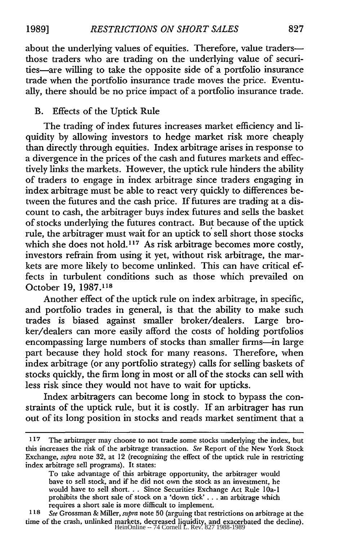about the underlying values of equities. Therefore, value tradersthose traders who are trading on the underlying value of securities-are willing to take the opposite side of a portfolio insurance trade when the portfolio insurance trade moves the price. Eventually, there should be no price impact of a portfolio insurance trade.

### B. Effects of the Uptick Rule

The trading of index futures increases market efficiency and liquidity by allowing investors to hedge market risk more cheaply than directly through equities. Index arbitrage arises in response to a divergence in the prices of the cash and futures markets and effectively links the markets. However, the uptick rule hinders the ability of traders to engage in index arbitrage since traders engaging in index arbitrage must be able to react very quickly to differences between the futures and the cash price. If futures are trading at a discount to cash, the arbitrager buys index futures and sells the basket of stocks underlying the futures contract. But because of the uptick rule, the arbitrager must wait for an uptick to sell short those stocks which she does not hold.<sup>117</sup> As risk arbitrage becomes more costly, investors refrain from using it yet, without risk arbitrage, the markets are more likely to become unlinked. This can have critical effects in turbulent conditions such as those which prevailed on October 19, 1987.118

Another effect of the uptick rule on index arbitrage, in specific, and portfolio trades in general, is that the ability to make such trades is biased against smaller broker/dealers. Large broker/dealers can more easily afford the costs of holding portfolios encompassing large numbers of stocks than smaller firms-in large part because they hold stock for many reasons. Therefore, when index arbitrage (or any portfolio strategy) calls for selling baskets of stocks quickly, the firm long in most or all of the stocks can sell with less risk since they would not have to wait for upticks.

Index arbitragers can become long in stock to bypass the constraints of the uptick rule, but it is costly. If an arbitrager has run out of its long position in stocks and reads market sentiment that a

**<sup>117</sup>** The arbitrager may choose to not trade some stocks underlying the index, but this increases the risk of the arbitrage transaction. *See* Report of the New York Stock Exchange, *supra* note 32, at 12 (recognizing the effect of the uptick rule in restricting index arbitrage sell programs). It states:

To take advantage of this arbitrage opportunity, the arbitrager would have to sell stock, and if he did not own the stock as an investment, he would have to sell short... Since Securities Exchange Act Rule lOa-I prohibits the short sale of stock on a 'down tick' **...** an arbitrage which requires a short sale is more difficult to implement.

*<sup>1 18</sup> See* Grossman & Miller, *supra* note 50 (arguing that restrictions on arbitrage at the time of the crash, unlinked markets, decreased liquidity, and exacerbated the decline).<br>HeinOnline -- 74 Cornell L. Rev. 827 1988-1989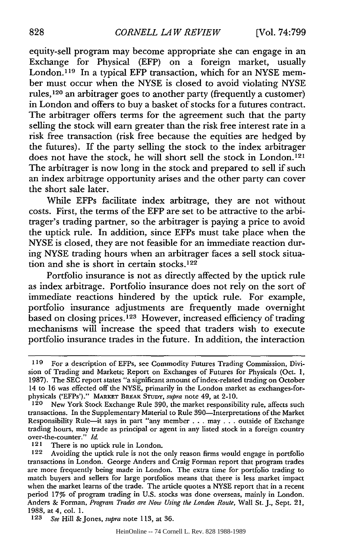equity-sell program may become appropriate she can engage in an Exchange for Physical (EFP) on a foreign market, usually London.<sup>119</sup> In a typical EFP transaction, which for an NYSE member must occur when the NYSE is closed to avoid violating NYSE rules,120 an arbitrager goes to another party (frequently a customer) in London and offers to buy a basket of stocks for a futures contract. The arbitrager offers terms for the agreement such that the party selling the stock will earn greater than the risk free interest rate in a risk free transaction (risk free because the equities are hedged by the futures). If the party selling the stock to the index arbitrager does not have the stock, he will short sell the stock in London.<sup>121</sup> The arbitrager is now long in the stock and prepared to sell if such an index arbitrage opportunity arises and the other party can cover the short sale later.

While EFPs facilitate index arbitrage, they are not without costs. First, the terms of the EFP are set to be attractive to the arbitrager's trading partner, so the arbitrager is paying a price to avoid the uptick rule. In addition, since EFPs must take place when the NYSE is closed, they are not feasible for an immediate reaction during NYSE trading hours when an arbitrager faces a sell stock situation and she is short in certain stocks.<sup>122</sup>

Portfolio insurance is not as directly affected by the uptick rule as index arbitrage. Portfolio insurance does not rely on the sort of immediate reactions hindered by the uptick rule. For example, portfolio insurance adjustments are frequently made overnight based on closing prices.<sup>123</sup> However, increased efficiency of trading mechanisms will increase the speed that traders wish to execute portfolio insurance trades in the future. In addition, the interaction

121 There is no uptick rule in London.

**<sup>119</sup>** For a description of EFPs, see Commodity Futures Trading Commission, Division of Trading and Markets; Report on Exchanges of Futures for Physicals (Oct. 1, 1987). The SEC report states "a significant amount of index-related trading on October 14 to 16 was effected off the NYSE, primarily in the London market as exchanges-forphysicals ('EFPs')." MARKET BREAK STUDY, *supra* note 49, at 2-10.

New York Stock Exchange Rule 390, the market responsibility rule, affects such transactions. In the Supplementary Material to Rule 390-Interpretations of the Market Responsibility Rule-it says in part "any member **...** may . . . outside of Exchange trading hours, may trade as principal or agent in any listed stock in a foreign country over-the-counter." *Id.*

<sup>122</sup> Avoiding the uptick rule is not the only reason firms would engage in portfolio transactions in London. George Anders and Craig Forman report that program trades are more frequently being made in London. The extra time for portfolio trading to match buyers and sellers for large portfolios means that there is less market impact when the market learns of the trade. The article quotes a NYSE report that in a recent period 17% of program trading in U.S. stocks was done overseas, mainly in London. Anders & Forman, *Program Trades are Now Using the London Route,* Wall St. J., Sept. 21, 1988, at 4, col. 1.

*<sup>123</sup> See* Hill & Jones, *supra* note 113, at 36.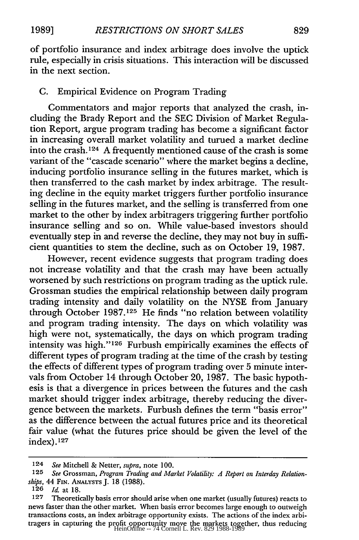of portfolio insurance and index arbitrage does involve the uptick rule, especially in crisis situations. This interaction will be discussed in the next section.

## C. Empirical Evidence on Program Trading

Commentators and major reports that analyzed the crash, including the Brady Report and the SEC Division of Market Regulation Report, argue program trading has become a significant factor in increasing overall market volatility and turned a market decline into the crash. 124 A frequently mentioned cause of the crash is some variant of the "cascade scenario" where the market begins a decline, inducing portfolio insurance selling in the futures market, which is then transferred to the cash market by index arbitrage. The resulting decline in the equity market triggers further portfolio insurance selling in the futures market, and the selling is transferred from one market to the other by index arbitragers triggering further portfolio insurance selling and so on. While value-based investors should eventually step in and reverse the decline, they may not buy in sufficient quantities to stem the decline, such as on October 19, 1987.

However, recent evidence suggests that program trading does not increase volatility and that the crash may have been actually worsened by such restrictions on program trading as the uptick rule. Grossman studies the empirical relationship between daily program trading intensity and daily volatility on the NYSE from January through October 1987.125 He finds "no relation between volatility and program trading intensity. The days on which volatility was high were not, systematically, the days on which program trading intensity was high." 126 Furbush empirically examines the effects of different types of program trading at the time of the crash by testing the effects of different types of program trading over 5 minute intervals from October 14 through October 20, 1987. The basic hypothesis is that a divergence in prices between the futures and the cash market should trigger index arbitrage, thereby reducing the divergence between the markets. Furbush defines the term "basis error" as the difference between the actual futures price and its theoretical fair value (what the futures price should be given the level of the  $index$ ).  $127$ 

<sup>124</sup> *See* Mitchell & Netter, *supra,* note 100.

**<sup>125</sup>** *See* Grossman, *Program Trading and Market Volatility: A Report on Interday Relationships, 44* FIN. ANALYSTS **J.** 18 (1988).

**<sup>126</sup>** *Id.* at 18.

**<sup>127</sup>** Theoretically basis error should arise when one market (usually futures) reacts to news faster than the other market. When basis error becomes large enough to outweigh transactions costs, an index arbitrage opportunity exists. The actions of the index arbitragers in capturing the profit opportunity move the markets together, thus reducing<br>HeinOnline -- 74 Cornell L. Rev. 829 1988-1989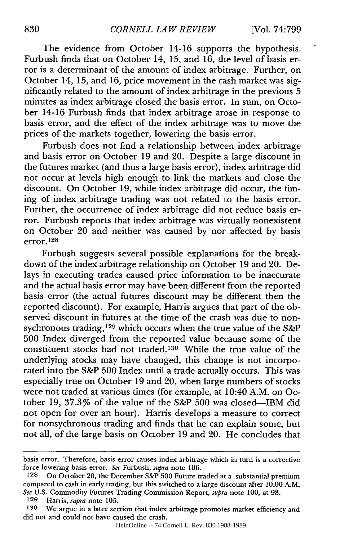The evidence from October 14-16 supports the hypothesis. Furbush finds that on October 14, **15,** and 16, the level of basis error is a determinant of the amount of index arbitrage. Further, on October 14, 15, and 16, price movement in the cash market was significantly related to the amount of index arbitrage in the previous 5 minutes as index arbitrage closed the basis error. In sum, on October 14-16 Furbush finds that index arbitrage arose in response to basis error, and the effect of the index arbitrage was to move the prices of the markets together, lowering the basis error.

Furbush does not find a relationship between index arbitrage and basis error on October 19 and 20. Despite a large discount in the futures market (and thus a large basis error), index arbitrage did not occur at levels high enough to link the markets and close the discount. On October 19, while index arbitrage did occur, the timing of index arbitrage trading was not related to the basis error. Further, the occurrence of index arbitrage did not reduce basis error. Furbush reports that index arbitrage was virtually nonexistent on October 20 and neither was caused by nor affected by basis error. **1 28**

Furbush suggests several possible explanations for the breakdown of the index arbitrage relationship on October 19 and 20. Delays in executing trades caused price information to be inaccurate and the actual basis error may have been different from the reported basis error (the actual futures discount may be different then the reported discount). For example, Harris argues that part of the observed discount in futures at the time of the crash was due to nonsychronous trading, 129 which occurs when the true value of the S&P 500 Index diverged from the reported value because some of the constituent stocks had not traded.<sup>130</sup> While the true value of the underlying stocks may have changed, this change is not incorporated into the S&P 500 Index until a trade actually occurs. This was especially true on October 19 and 20, when large numbers of stocks were not traded at various times (for example, at 10:40 A.M. on October 19, 37.3% of the value of the S&P 500 was closed-IBM did not open for over an hour). Harris develops a measure to correct for nonsychronous trading and finds that he can explain some, but not all, of the large basis on October 19 and 20. He concludes that

basis error. Therefore, basis error causes index arbitrage which in turn is a corrective force lowering basis error. *See* Furbush, *supra* note 106.

**<sup>128</sup>** On October 20, the December S&P 500 Future traded at a substantial premium compared to cash in early trading, but this switched to a large discount after 10:00 A.M. *See* U.S. Commodity Futures Trading Commission Report, *supra* note 100, at 98.

**<sup>129</sup>** Harris, *supra* note 105.

**<sup>130</sup>** We argue in a later section that index arbitrage promotes market efficiency and did not and could not have caused the crash.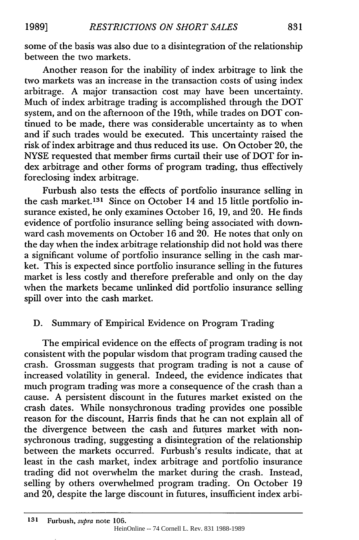**1989]**

some of the basis was also due to a disintegration of the relationship between the two markets.

Another reason for the inability of index arbitrage to link the two markets was an increase in the transaction costs of using index arbitrage. A major transaction cost may have been uncertainty. Much of index arbitrage trading is accomplished through the DOT system, and on the afternoon of the 19th, while trades on DOT continued to be made, there was considerable uncertainty as to when and if such trades would be executed. This uncertainty raised the risk of index arbitrage and thus reduced its use. On October 20, the NYSE requested that member firms curtail their use of DOT for index arbitrage and other forms of program trading, thus effectively foreclosing index arbitrage.

Furbush also tests the effects of portfolio insurance selling in the cash market.<sup>131</sup> Since on October 14 and 15 little portfolio insurance existed, he only examines October 16, 19, and 20. He finds evidence of portfolio insurance selling being associated with downward cash movements on October 16 and 20. He notes that only on the day when the index arbitrage relationship did not hold was there a significant volume of portfolio insurance selling in the cash market. This is expected since portfolio insurance selling in the futures market is less costly and therefore preferable and only on the day when the markets became unlinked did portfolio insurance selling spill over into the cash market.

# D. Summary of Empirical Evidence on Program Trading

The empirical evidence on the effects of program trading is not consistent with the popular wisdom that program trading caused the crash. Grossman suggests that program trading is not a cause of increased volatility in general. Indeed, the evidence indicates that much program trading was more a consequence of the crash than a cause. A persistent discount in the futures market existed on the crash dates. While nonsychronous trading provides one possible reason for the discount, Harris finds that he can not explain all of the divergence between the cash and futures market with nonsychronous trading, suggesting a disintegration of the relationship between the markets occurred. Furbush's results indicate, that at least in the cash market, index arbitrage and portfolio insurance trading did not overwhelm the market during the crash. Instead, selling by others overwhelmed program trading. On October 19 and 20, despite the large discount in futures, insufficient index arbi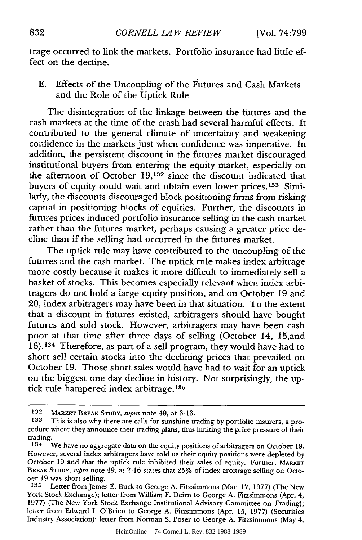trage occurred to link the markets. Portfolio insurance had little effect on the decline.

E. Effects of the Uncoupling of the Futures and Cash Markets and the Role of the Uptick Rule

The disintegration of the linkage between the futures and the cash markets at the time of the crash had several harmful effects. It contributed to the general climate of uncertainty and weakening confidence in the markets just when confidence was imperative. In addition, the persistent discount in the futures market discouraged institutional buyers from entering the equity market, especially on the afternoon of October **19,132** since the discount indicated that buyers of equity could wait and obtain even lower prices.133 Similarly, the discounts discouraged block positioning firms from risking capital in positioning blocks of equities. Further, the discounts in futures prices induced portfolio insurance selling in the cash market rather than the futures market, perhaps causing a greater price decline than if the selling had occurred in the futures market.

The uptick rule may have contributed to the uncoupling of the futures and the cash market. The uptick rnle makes index arbitrage more costly because it makes it more difficult to immediately sell a basket of stocks. This becomes especially relevant when index arbitragers do not hold a large equity position, and on October 19 and 20, index arbitragers may have been in that situation. To the extent that a discount in futures existed, arbitragers should have bought futures and sold stock. However, arbitragers may have been cash poor at that time after three days of selling (October 14, 15,and 16).<sup>134</sup> Therefore, as part of a sell program, they would have had to short sell certain stocks into the declining prices that prevailed on October 19. Those short sales would have had to wait for an uptick on the biggest one day decline in history. Not surprisingly, the uptick rule hampered index arbitrage.<sup>135</sup>

**<sup>132</sup> MARKET** BREAK **STUDY,** *supra* note 49, at **3-13.**

**<sup>133</sup>** This is also why there are calls for sunshine trading by portfolio insurers, a procedure where they announce their trading plans, thus limiting the price pressure of their trading.

<sup>&</sup>lt;sup>134</sup> We have no aggregate data on the equity positions of arbitragers on October 19. However, several index arbitragers have told us their equity positions were depleted by October 19 and that the uptick rule inhibited their sales of equity. Further, MARKET BREAK STUDY, *supra* note 49, at 2-16 states that 25% of index arbitrage selling on October 19 was short selling.

**<sup>135</sup>** Letter fromJames E. Buck to George A. Fitzsimmons (Mar. 17, 1977) (The New York Stock Exchange); letter from William F. Deirn to George A. Fitzsimmons (Apr. 4, 1977) (The New York Stock Exchange Institutional Advisory Committee on Trading); letter from Edward I. O'Brien to George A. Fitzsimmons (Apr. 15, 1977) (Securities Industry Association); letter from Norman S. Poser to George A. Fitzsimmons (May 4,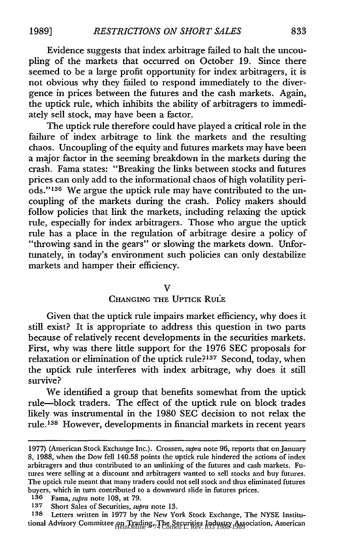Evidence suggests that index arbitrage failed to halt the uncoupling of the markets that occurred on October 19. Since there seemed to be a large profit opportunity for index arbitragers, it is not obvious why they failed to respond immediately to the divergence in prices between the futures and the cash markets. Again, the uptick rule, which inhibits the ability of arbitragers to immediately sell stock, may have been a factor.

The uptick rule therefore could have played a critical role in the failure of index arbitrage to link the markets and the resulting chaos. Uncoupling of the equity and futures markets may have been a major factor in the seeming breakdown in the markets during the crash. Fama states: "Breaking the links between stocks and futures prices can only add to the informational chaos of high volatility periods."'136 We argue the uptick rule may have contributed to the uncoupling of the markets during the crash. Policy makers should follow policies that link the markets, including relaxing the uptick rule, especially for index arbitragers. Those who argue the uptick rule has a place in the regulation of arbitrage desire a policy of "throwing sand in the gears" or slowing the markets down. Unfortunately, in today's environment such policies can only destabilize markets and hamper their efficiency.

#### $\mathbf v$

### **CHANGING THE UPTICK RULE**

Given that the uptick rule impairs market efficiency, why does it still exist? It is appropriate to address this question in two parts because of relatively recent developments in the securities markets. First, why was there little support for the 1976 SEC proposals for relaxation or elimination of the uptick rule?<sup>137</sup> Second, today, when the uptick rule interferes with index arbitrage, why does it still survive?

We identified a group that benefits somewhat from the uptick rule-block traders. The effect of the uptick rule on block trades likely was instrumental in the 1980 SEC decision to not relax the rule.<sup>138</sup> However, developments in financial markets in recent years

<sup>1977) (</sup>American Stock Exchange Inc.). Crossen, *supra* note 96, reports that on January 8, 1988, when the Dow fell 140.58 points the uptick rule hindered the actions of index arbitragers and thus contributed to an unlinking of the futures and cash markets. Futures were selling at a discount and arbitragers wanted to sell stocks and buy futures. The uptick rule meant that many traders could not sell stock and thus eliminated futures buyers, which in turn contributed to a downward slide in futures prices.

**<sup>136</sup>** Fama, *supra* note 108, at 79.

**<sup>137</sup>** Short Sales of Securities, *supra* note 13.

**<sup>138</sup>** Letters written in 1977 by the New York Stock Exchange, The NYSE Institutional Advisory Committee on Trading, The Securities Industry Association, American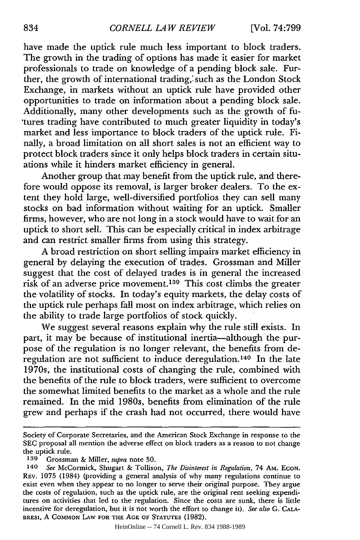have made the uptick rule much less important to block traders. The growth in the trading of options has made it easier for market professionals to trade on knowledge of a pending block sale. Further, the growth of international trading,' such as the London Stock Exchange, in markets without an uptick rule have provided other opportunities to trade on information about a pending block sale. Additionally, many other developments such as the growth of fu- 'tures trading have contributed to much greater liquidity in today's market and less importance to block traders of the uptick rule. Finally, a broad limitation on all short sales is not an efficient way to protect block traders since it only helps block traders in certain situations while it hinders market efficiency in general.

Another group that may benefit from the uptick rule, and therefore would oppose its removal, is larger broker dealers. To the extent they hold large, well-diversified portfolios they can sell many stocks on bad information without waiting for an uptick. Smaller firms, however, who are not long in a stock would have to wait for an uptick to short sell. This can be especially critical in index arbitrage and can restrict smaller firms from using this strategy.

A broad restriction on short selling impairs market efficiency in general by delaying the execution of trades. Grossman and Miller suggest that the cost of delayed trades is in general the increased risk of an adverse price movement.<sup>139</sup> This cost climbs the greater the volatility of stocks. In today's equity markets, the delay costs of the uptick rule perhaps fall most on index arbitrage, which relies on the ability to trade large portfolios of stock quickly.

We suggest several reasons explain why the rule still exists. In part, it may be because of institutional inertia-although the purpose of the regulation is no longer relevant, the benefits from deregulation are not sufficient to induce deregulation. 140 In the late 1970s, the institutional costs of changing the rule, combined with the benefits of the rule to block traders, were sufficient to overcome the somewhat limited benefits to the market as a whole and the rule remained. In the mid 1980s, benefits from elimination of the rule grew and perhaps if the crash had not occurred, there would have

Society of Corporate Secretaries, and the American Stock Exchange in response to the SEC proposal all mention the adverse effect on block traders as a reason to not change the uptick rule.

**<sup>139</sup>** Grossman & Miller, *supra* note 50.

*<sup>140</sup> See* McCormick, Shugart & Tollison, *The Disinterest in Regulation,* 74 AM. ECON. REV. 1075 (1984) (providing a general analysis of why many regulations continue to exist even when they appear to no longer to serve their original purpose. They argue the costs of regulation, such as the uptick rule, are the original rent seeking expenditures on activities that led to the regulation. Since the costs are sunk, there is little incentive for deregulation, but it is not worth the effort to change it). *See also* G. CALA-BRESI, A **COMMON** LAW FOR THE **AGE** OF **STATUTES** (1982).